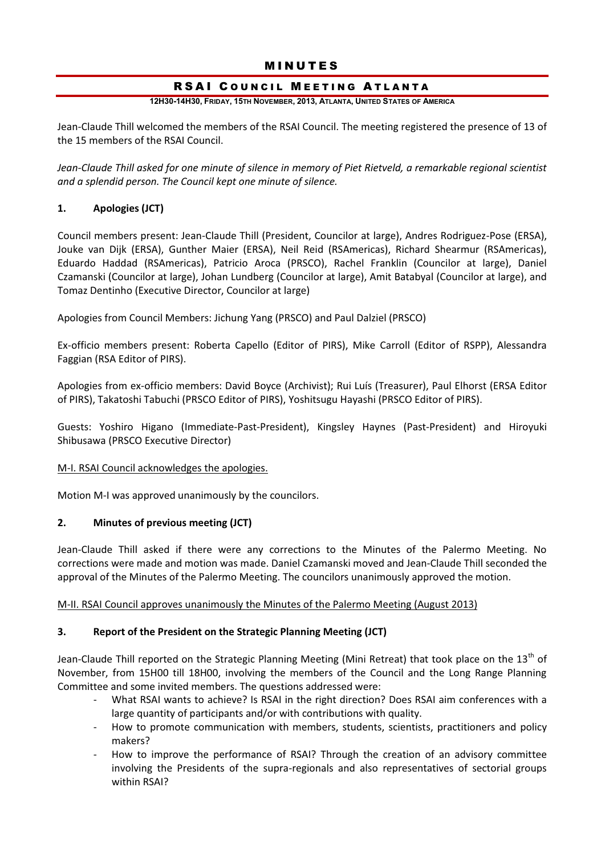# MINUTES

# RSAI COUNCIL MEETING ATLANTA

### **12H30-14H30, FRIDAY, 15TH NOVEMBER, 2013, ATLANTA, UNITED STATES OF AMERICA**

Jean-Claude Thill welcomed the members of the RSAI Council. The meeting registered the presence of 13 of the 15 members of the RSAI Council.

*Jean-Claude Thill asked for one minute of silence in memory of Piet Rietveld, a remarkable regional scientist and a splendid person. The Council kept one minute of silence.* 

# **1. Apologies (JCT)**

Council members present: Jean-Claude Thill (President, Councilor at large), Andres Rodriguez-Pose (ERSA), Jouke van Dijk (ERSA), Gunther Maier (ERSA), Neil Reid (RSAmericas), Richard Shearmur (RSAmericas), Eduardo Haddad (RSAmericas), Patricio Aroca (PRSCO), Rachel Franklin (Councilor at large), Daniel Czamanski (Councilor at large), Johan Lundberg (Councilor at large), Amit Batabyal (Councilor at large), and Tomaz Dentinho (Executive Director, Councilor at large)

Apologies from Council Members: Jichung Yang (PRSCO) and Paul Dalziel (PRSCO)

Ex-officio members present: Roberta Capello (Editor of PIRS), Mike Carroll (Editor of RSPP), Alessandra Faggian (RSA Editor of PIRS).

Apologies from ex-officio members: David Boyce (Archivist); Rui Luís (Treasurer), Paul Elhorst (ERSA Editor of PIRS), Takatoshi Tabuchi (PRSCO Editor of PIRS), Yoshitsugu Hayashi (PRSCO Editor of PIRS).

Guests: Yoshiro Higano (Immediate-Past-President), Kingsley Haynes (Past-President) and Hiroyuki Shibusawa (PRSCO Executive Director)

# M-I. RSAI Council acknowledges the apologies.

Motion M-I was approved unanimously by the councilors.

# **2. Minutes of previous meeting (JCT)**

Jean-Claude Thill asked if there were any corrections to the Minutes of the Palermo Meeting. No corrections were made and motion was made. Daniel Czamanski moved and Jean-Claude Thill seconded the approval of the Minutes of the Palermo Meeting. The councilors unanimously approved the motion.

# M-II. RSAI Council approves unanimously the Minutes of the Palermo Meeting (August 2013)

# **3. Report of the President on the Strategic Planning Meeting (JCT)**

Jean-Claude Thill reported on the Strategic Planning Meeting (Mini Retreat) that took place on the 13<sup>th</sup> of November, from 15H00 till 18H00, involving the members of the Council and the Long Range Planning Committee and some invited members. The questions addressed were:

- What RSAI wants to achieve? Is RSAI in the right direction? Does RSAI aim conferences with a large quantity of participants and/or with contributions with quality.
- How to promote communication with members, students, scientists, practitioners and policy makers?
- How to improve the performance of RSAI? Through the creation of an advisory committee involving the Presidents of the supra-regionals and also representatives of sectorial groups within RSAI?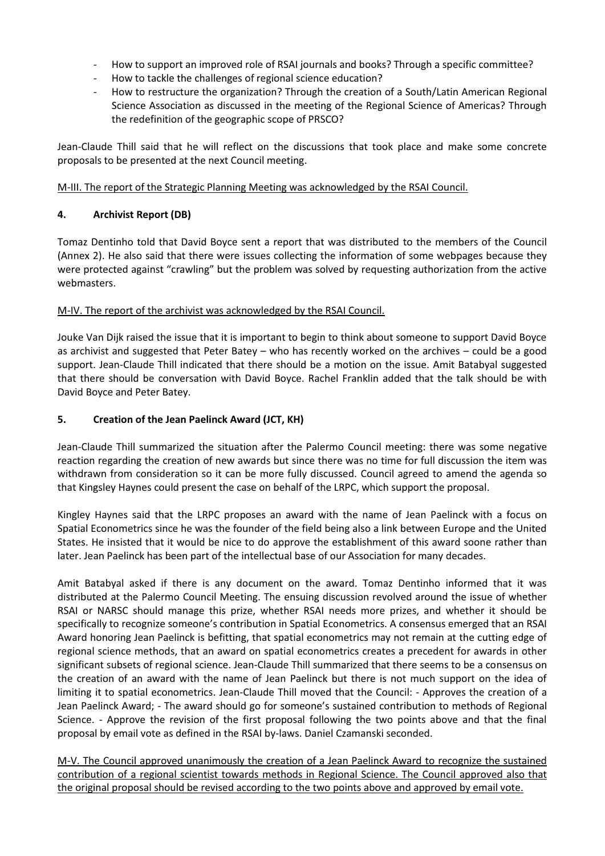- How to support an improved role of RSAI journals and books? Through a specific committee?
- How to tackle the challenges of regional science education?
- How to restructure the organization? Through the creation of a South/Latin American Regional Science Association as discussed in the meeting of the Regional Science of Americas? Through the redefinition of the geographic scope of PRSCO?

Jean-Claude Thill said that he will reflect on the discussions that took place and make some concrete proposals to be presented at the next Council meeting.

M-III. The report of the Strategic Planning Meeting was acknowledged by the RSAI Council.

## **4. Archivist Report (DB)**

Tomaz Dentinho told that David Boyce sent a report that was distributed to the members of the Council (Annex 2). He also said that there were issues collecting the information of some webpages because they were protected against "crawling" but the problem was solved by requesting authorization from the active webmasters.

## M-IV. The report of the archivist was acknowledged by the RSAI Council.

Jouke Van Dijk raised the issue that it is important to begin to think about someone to support David Boyce as archivist and suggested that Peter Batey – who has recently worked on the archives – could be a good support. Jean-Claude Thill indicated that there should be a motion on the issue. Amit Batabyal suggested that there should be conversation with David Boyce. Rachel Franklin added that the talk should be with David Boyce and Peter Batey.

## **5. Creation of the Jean Paelinck Award (JCT, KH)**

Jean-Claude Thill summarized the situation after the Palermo Council meeting: there was some negative reaction regarding the creation of new awards but since there was no time for full discussion the item was withdrawn from consideration so it can be more fully discussed. Council agreed to amend the agenda so that Kingsley Haynes could present the case on behalf of the LRPC, which support the proposal.

Kingley Haynes said that the LRPC proposes an award with the name of Jean Paelinck with a focus on Spatial Econometrics since he was the founder of the field being also a link between Europe and the United States. He insisted that it would be nice to do approve the establishment of this award soone rather than later. Jean Paelinck has been part of the intellectual base of our Association for many decades.

Amit Batabyal asked if there is any document on the award. Tomaz Dentinho informed that it was distributed at the Palermo Council Meeting. The ensuing discussion revolved around the issue of whether RSAI or NARSC should manage this prize, whether RSAI needs more prizes, and whether it should be specifically to recognize someone's contribution in Spatial Econometrics. A consensus emerged that an RSAI Award honoring Jean Paelinck is befitting, that spatial econometrics may not remain at the cutting edge of regional science methods, that an award on spatial econometrics creates a precedent for awards in other significant subsets of regional science. Jean-Claude Thill summarized that there seems to be a consensus on the creation of an award with the name of Jean Paelinck but there is not much support on the idea of limiting it to spatial econometrics. Jean-Claude Thill moved that the Council: - Approves the creation of a Jean Paelinck Award; - The award should go for someone's sustained contribution to methods of Regional Science. - Approve the revision of the first proposal following the two points above and that the final proposal by email vote as defined in the RSAI by-laws. Daniel Czamanski seconded.

M-V. The Council approved unanimously the creation of a Jean Paelinck Award to recognize the sustained contribution of a regional scientist towards methods in Regional Science. The Council approved also that the original proposal should be revised according to the two points above and approved by email vote.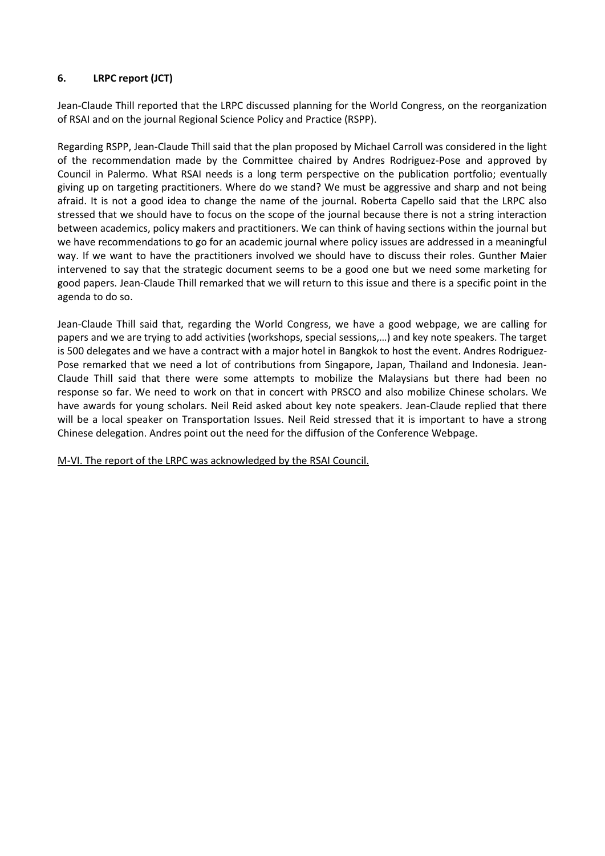# **6. LRPC report (JCT)**

Jean-Claude Thill reported that the LRPC discussed planning for the World Congress, on the reorganization of RSAI and on the journal Regional Science Policy and Practice (RSPP).

Regarding RSPP, Jean-Claude Thill said that the plan proposed by Michael Carroll was considered in the light of the recommendation made by the Committee chaired by Andres Rodriguez-Pose and approved by Council in Palermo. What RSAI needs is a long term perspective on the publication portfolio; eventually giving up on targeting practitioners. Where do we stand? We must be aggressive and sharp and not being afraid. It is not a good idea to change the name of the journal. Roberta Capello said that the LRPC also stressed that we should have to focus on the scope of the journal because there is not a string interaction between academics, policy makers and practitioners. We can think of having sections within the journal but we have recommendations to go for an academic journal where policy issues are addressed in a meaningful way. If we want to have the practitioners involved we should have to discuss their roles. Gunther Maier intervened to say that the strategic document seems to be a good one but we need some marketing for good papers. Jean-Claude Thill remarked that we will return to this issue and there is a specific point in the agenda to do so.

Jean-Claude Thill said that, regarding the World Congress, we have a good webpage, we are calling for papers and we are trying to add activities (workshops, special sessions,…) and key note speakers. The target is 500 delegates and we have a contract with a major hotel in Bangkok to host the event. Andres Rodriguez-Pose remarked that we need a lot of contributions from Singapore, Japan, Thailand and Indonesia. Jean-Claude Thill said that there were some attempts to mobilize the Malaysians but there had been no response so far. We need to work on that in concert with PRSCO and also mobilize Chinese scholars. We have awards for young scholars. Neil Reid asked about key note speakers. Jean-Claude replied that there will be a local speaker on Transportation Issues. Neil Reid stressed that it is important to have a strong Chinese delegation. Andres point out the need for the diffusion of the Conference Webpage.

M-VI. The report of the LRPC was acknowledged by the RSAI Council.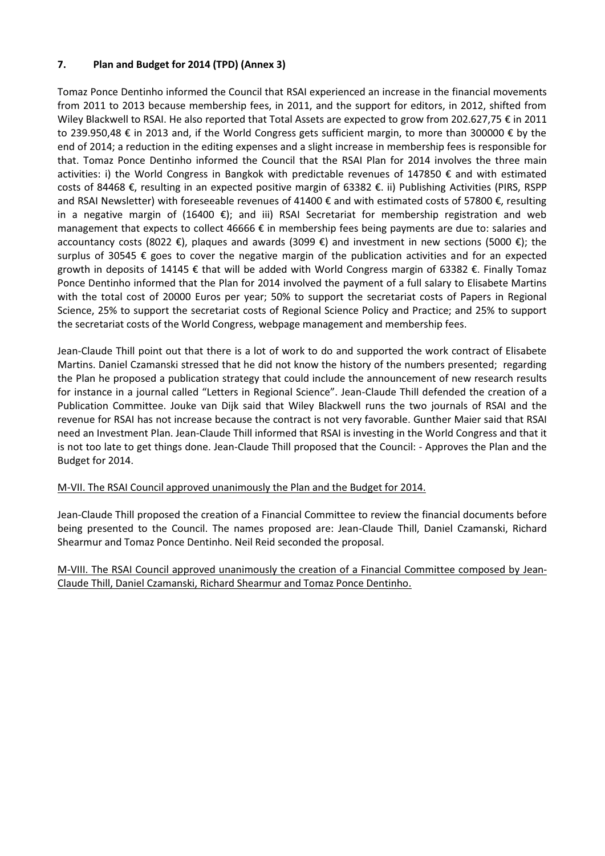# **7. Plan and Budget for 2014 (TPD) (Annex 3)**

Tomaz Ponce Dentinho informed the Council that RSAI experienced an increase in the financial movements from 2011 to 2013 because membership fees, in 2011, and the support for editors, in 2012, shifted from Wiley Blackwell to RSAI. He also reported that Total Assets are expected to grow from 202.627,75 € in 2011 to 239.950,48 € in 2013 and, if the World Congress gets sufficient margin, to more than 300000 € by the end of 2014; a reduction in the editing expenses and a slight increase in membership fees is responsible for that. Tomaz Ponce Dentinho informed the Council that the RSAI Plan for 2014 involves the three main activities: i) the World Congress in Bangkok with predictable revenues of 147850 € and with estimated costs of 84468 €, resulting in an expected positive margin of 63382 €. ii) Publishing Activities (PIRS, RSPP and RSAI Newsletter) with foreseeable revenues of 41400 € and with estimated costs of 57800 €, resulting in a negative margin of (16400 €); and iii) RSAI Secretariat for membership registration and web management that expects to collect 46666 € in membership fees being payments are due to: salaries and accountancy costs (8022 €), plaques and awards (3099 €) and investment in new sections (5000 €); the surplus of 30545 € goes to cover the negative margin of the publication activities and for an expected growth in deposits of 14145 € that will be added with World Congress margin of 63382 €. Finally Tomaz Ponce Dentinho informed that the Plan for 2014 involved the payment of a full salary to Elisabete Martins with the total cost of 20000 Euros per year; 50% to support the secretariat costs of Papers in Regional Science, 25% to support the secretariat costs of Regional Science Policy and Practice; and 25% to support the secretariat costs of the World Congress, webpage management and membership fees.

Jean-Claude Thill point out that there is a lot of work to do and supported the work contract of Elisabete Martins. Daniel Czamanski stressed that he did not know the history of the numbers presented; regarding the Plan he proposed a publication strategy that could include the announcement of new research results for instance in a journal called "Letters in Regional Science". Jean-Claude Thill defended the creation of a Publication Committee. Jouke van Dijk said that Wiley Blackwell runs the two journals of RSAI and the revenue for RSAI has not increase because the contract is not very favorable. Gunther Maier said that RSAI need an Investment Plan. Jean-Claude Thill informed that RSAI is investing in the World Congress and that it is not too late to get things done. Jean-Claude Thill proposed that the Council: - Approves the Plan and the Budget for 2014.

# M-VII. The RSAI Council approved unanimously the Plan and the Budget for 2014.

Jean-Claude Thill proposed the creation of a Financial Committee to review the financial documents before being presented to the Council. The names proposed are: Jean-Claude Thill, Daniel Czamanski, Richard Shearmur and Tomaz Ponce Dentinho. Neil Reid seconded the proposal.

M-VIII. The RSAI Council approved unanimously the creation of a Financial Committee composed by Jean-Claude Thill, Daniel Czamanski, Richard Shearmur and Tomaz Ponce Dentinho.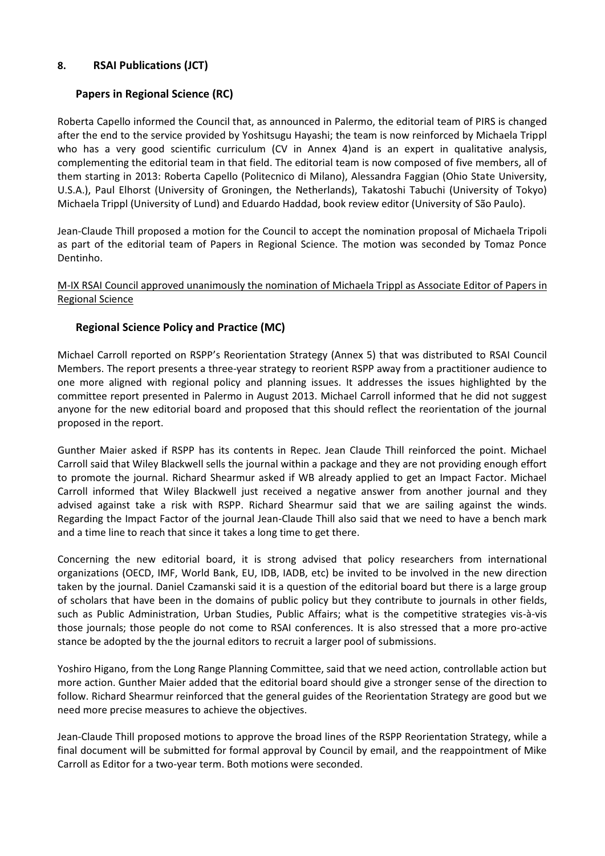# **8. RSAI Publications (JCT)**

# **Papers in Regional Science (RC)**

Roberta Capello informed the Council that, as announced in Palermo, the editorial team of PIRS is changed after the end to the service provided by Yoshitsugu Hayashi; the team is now reinforced by Michaela Trippl who has a very good scientific curriculum (CV in Annex 4) and is an expert in qualitative analysis, complementing the editorial team in that field. The editorial team is now composed of five members, all of them starting in 2013: Roberta Capello (Politecnico di Milano), Alessandra Faggian (Ohio State University, U.S.A.), Paul Elhorst (University of Groningen, the Netherlands), Takatoshi Tabuchi (University of Tokyo) Michaela Trippl (University of Lund) and Eduardo Haddad, book review editor (University of São Paulo).

Jean-Claude Thill proposed a motion for the Council to accept the nomination proposal of Michaela Tripoli as part of the editorial team of Papers in Regional Science. The motion was seconded by Tomaz Ponce Dentinho.

## M-IX RSAI Council approved unanimously the nomination of Michaela Trippl as Associate Editor of Papers in Regional Science

# **Regional Science Policy and Practice (MC)**

Michael Carroll reported on RSPP's Reorientation Strategy (Annex 5) that was distributed to RSAI Council Members. The report presents a three-year strategy to reorient RSPP away from a practitioner audience to one more aligned with regional policy and planning issues. It addresses the issues highlighted by the committee report presented in Palermo in August 2013. Michael Carroll informed that he did not suggest anyone for the new editorial board and proposed that this should reflect the reorientation of the journal proposed in the report.

Gunther Maier asked if RSPP has its contents in Repec. Jean Claude Thill reinforced the point. Michael Carroll said that Wiley Blackwell sells the journal within a package and they are not providing enough effort to promote the journal. Richard Shearmur asked if WB already applied to get an Impact Factor. Michael Carroll informed that Wiley Blackwell just received a negative answer from another journal and they advised against take a risk with RSPP. Richard Shearmur said that we are sailing against the winds. Regarding the Impact Factor of the journal Jean-Claude Thill also said that we need to have a bench mark and a time line to reach that since it takes a long time to get there.

Concerning the new editorial board, it is strong advised that policy researchers from international organizations (OECD, IMF, World Bank, EU, IDB, IADB, etc) be invited to be involved in the new direction taken by the journal. Daniel Czamanski said it is a question of the editorial board but there is a large group of scholars that have been in the domains of public policy but they contribute to journals in other fields, such as Public Administration, Urban Studies, Public Affairs; what is the competitive strategies vis-à-vis those journals; those people do not come to RSAI conferences. It is also stressed that a more pro-active stance be adopted by the the journal editors to recruit a larger pool of submissions.

Yoshiro Higano, from the Long Range Planning Committee, said that we need action, controllable action but more action. Gunther Maier added that the editorial board should give a stronger sense of the direction to follow. Richard Shearmur reinforced that the general guides of the Reorientation Strategy are good but we need more precise measures to achieve the objectives.

Jean-Claude Thill proposed motions to approve the broad lines of the RSPP Reorientation Strategy, while a final document will be submitted for formal approval by Council by email, and the reappointment of Mike Carroll as Editor for a two-year term. Both motions were seconded.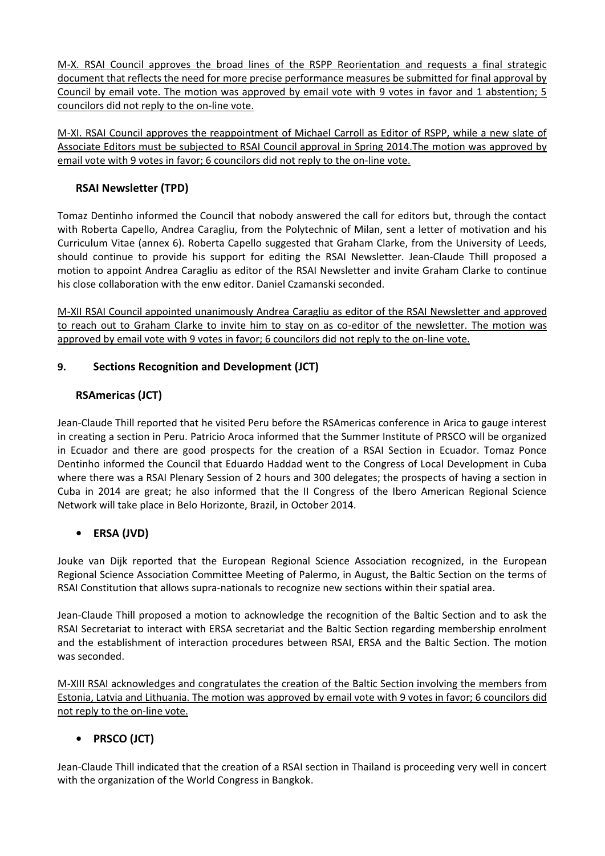M-X. RSAI Council approves the broad lines of the RSPP Reorientation and requests a final strategic document that reflects the need for more precise performance measures be submitted for final approval by Council by email vote. The motion was approved by email vote with 9 votes in favor and 1 abstention; 5 councilors did not reply to the on-line vote.

M-XI. RSAI Council approves the reappointment of Michael Carroll as Editor of RSPP, while a new slate of Associate Editors must be subjected to RSAI Council approval in Spring 2014.The motion was approved by email vote with 9 votes in favor; 6 councilors did not reply to the on-line vote.

# **RSAI Newsletter (TPD)**

Tomaz Dentinho informed the Council that nobody answered the call for editors but, through the contact with Roberta Capello, Andrea Caragliu, from the Polytechnic of Milan, sent a letter of motivation and his Curriculum Vitae (annex 6). Roberta Capello suggested that Graham Clarke, from the University of Leeds, should continue to provide his support for editing the RSAI Newsletter. Jean-Claude Thill proposed a motion to appoint Andrea Caragliu as editor of the RSAI Newsletter and invite Graham Clarke to continue his close collaboration with the enw editor. Daniel Czamanski seconded.

M-XII RSAI Council appointed unanimously Andrea Caragliu as editor of the RSAI Newsletter and approved to reach out to Graham Clarke to invite him to stay on as co-editor of the newsletter. The motion was approved by email vote with 9 votes in favor; 6 councilors did not reply to the on-line vote.

# **9. Sections Recognition and Development (JCT)**

# **RSAmericas (JCT)**

Jean-Claude Thill reported that he visited Peru before the RSAmericas conference in Arica to gauge interest in creating a section in Peru. Patricio Aroca informed that the Summer Institute of PRSCO will be organized in Ecuador and there are good prospects for the creation of a RSAI Section in Ecuador. Tomaz Ponce Dentinho informed the Council that Eduardo Haddad went to the Congress of Local Development in Cuba where there was a RSAI Plenary Session of 2 hours and 300 delegates; the prospects of having a section in Cuba in 2014 are great; he also informed that the II Congress of the Ibero American Regional Science Network will take place in Belo Horizonte, Brazil, in October 2014.

# **• ERSA (JVD)**

Jouke van Dijk reported that the European Regional Science Association recognized, in the European Regional Science Association Committee Meeting of Palermo, in August, the Baltic Section on the terms of RSAI Constitution that allows supra-nationals to recognize new sections within their spatial area.

Jean-Claude Thill proposed a motion to acknowledge the recognition of the Baltic Section and to ask the RSAI Secretariat to interact with ERSA secretariat and the Baltic Section regarding membership enrolment and the establishment of interaction procedures between RSAI, ERSA and the Baltic Section. The motion was seconded.

M-XIII RSAI acknowledges and congratulates the creation of the Baltic Section involving the members from Estonia, Latvia and Lithuania. The motion was approved by email vote with 9 votes in favor; 6 councilors did not reply to the on-line vote.

# **• PRSCO (JCT)**

Jean-Claude Thill indicated that the creation of a RSAI section in Thailand is proceeding very well in concert with the organization of the World Congress in Bangkok.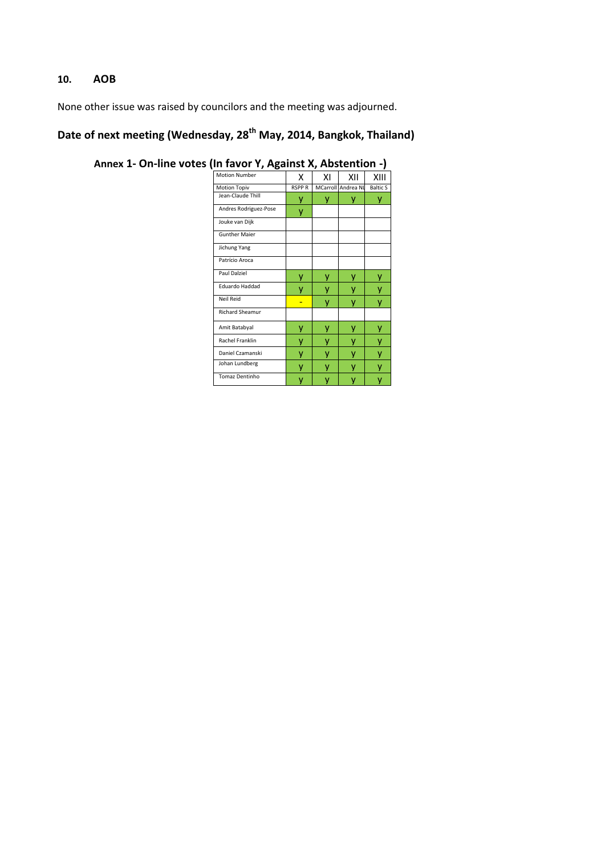# **10. AOB**

None other issue was raised by councilors and the meeting was adjourned.

# **Date of next meeting (Wednesday, 28th May, 2014, Bangkok, Thailand)**

| <b>Motion Number</b>   | X            | ΧI | XII                | XIII            |
|------------------------|--------------|----|--------------------|-----------------|
| <b>Motion Topiv</b>    | <b>RSPPR</b> |    | MCarroll Andrea NL | <b>Baltic S</b> |
| Jean-Claude Thill      | ٧            | у  | y                  | у               |
| Andres Rodriguez-Pose  | ٧            |    |                    |                 |
| Jouke van Dijk         |              |    |                    |                 |
| <b>Gunther Maier</b>   |              |    |                    |                 |
| Jichung Yang           |              |    |                    |                 |
| Patrício Aroca         |              |    |                    |                 |
| Paul Dalziel           | ۷            | ٧  |                    | у               |
| Eduardo Haddad         | v            |    |                    |                 |
| Neil Reid              |              | v  |                    | v               |
| <b>Richard Sheamur</b> |              |    |                    |                 |
| Amit Batabyal          | v            | ٧  |                    |                 |
| Rachel Franklin        |              |    |                    |                 |
| Daniel Czamanski       | ٧            | ۷  |                    |                 |
| Johan Lundberg         | v            |    |                    |                 |
| <b>Tomaz Dentinho</b>  |              |    |                    |                 |

**Annex 1- On-line votes (In favor Y, Against X, Abstention -)**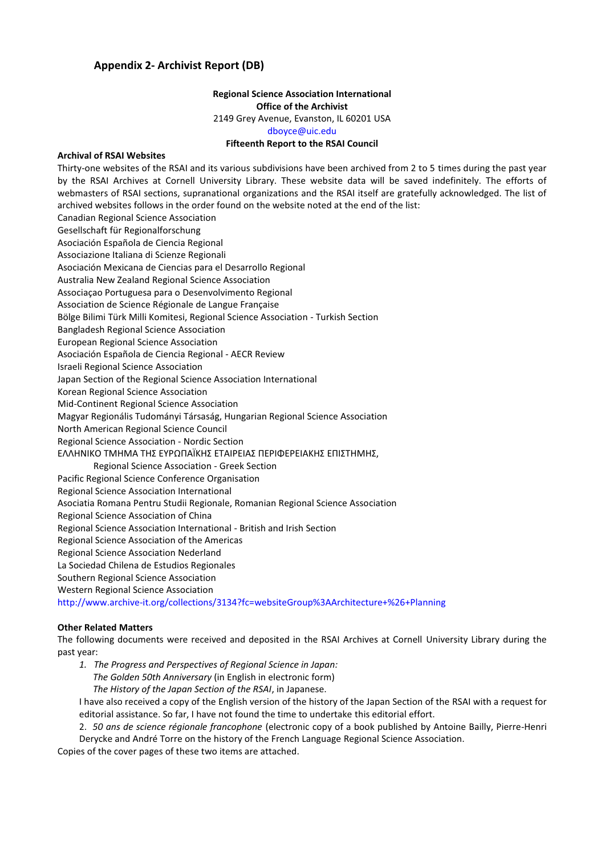## **Appendix 2- Archivist Report (DB)**

### **Regional Science Association International Office of the Archivist**  2149 Grey Avenue, Evanston, IL 60201 USA dboyce@uic.edu **Fifteenth Report to the RSAI Council**

### **Archival of RSAI Websites**

Thirty-one websites of the RSAI and its various subdivisions have been archived from 2 to 5 times during the past year by the RSAI Archives at Cornell University Library. These website data will be saved indefinitely. The efforts of webmasters of RSAI sections, supranational organizations and the RSAI itself are gratefully acknowledged. The list of archived websites follows in the order found on the website noted at the end of the list: Canadian Regional Science Association Gesellschaft für Regionalforschung Asociación Española de Ciencia Regional Associazione Italiana di Scienze Regionali Asociación Mexicana de Ciencias para el Desarrollo Regional Australia New Zealand Regional Science Association Associaçao Portuguesa para o Desenvolvimento Regional Association de Science Régionale de Langue Française Bölge Bilimi Türk Milli Komitesi, Regional Science Association - Turkish Section Bangladesh Regional Science Association European Regional Science Association Asociación Española de Ciencia Regional - AECR Review Israeli Regional Science Association Japan Section of the Regional Science Association International Korean Regional Science Association Mid-Continent Regional Science Association Magyar Regionális Tudományi Társaság, Hungarian Regional Science Association North American Regional Science Council Regional Science Association - Nordic Section ΕΛΛΗΝΙΚΟ ΤΜΗΜΑ ΤΗΣ ΕΥΡΩΠΑΪΚΗΣ ΕΤΑΙΡΕΙΑΣ ΠΕΡΙΦΕΡΕΙΑΚΗΣ ΕΠΙΣΤΗΜΗΣ, Regional Science Association - Greek Section Pacific Regional Science Conference Organisation Regional Science Association International Asociatia Romana Pentru Studii Regionale, Romanian Regional Science Association Regional Science Association of China Regional Science Association International - British and Irish Section Regional Science Association of the Americas Regional Science Association Nederland La Sociedad Chilena de Estudios Regionales Southern Regional Science Association Western Regional Science Association http://www.archive-it.org/collections/3134?fc=websiteGroup%3AArchitecture+%26+Planning

### **Other Related Matters**

The following documents were received and deposited in the RSAI Archives at Cornell University Library during the past year:

*1. The Progress and Perspectives of Regional Science in Japan: The Golden 50th Anniversary* (in English in electronic form)  *The History of the Japan Section of the RSAI*, in Japanese.

I have also received a copy of the English version of the history of the Japan Section of the RSAI with a request for editorial assistance. So far, I have not found the time to undertake this editorial effort.

2. *50 ans de science régionale francophone* (electronic copy of a book published by Antoine Bailly, Pierre-Henri Derycke and André Torre on the history of the French Language Regional Science Association.

Copies of the cover pages of these two items are attached.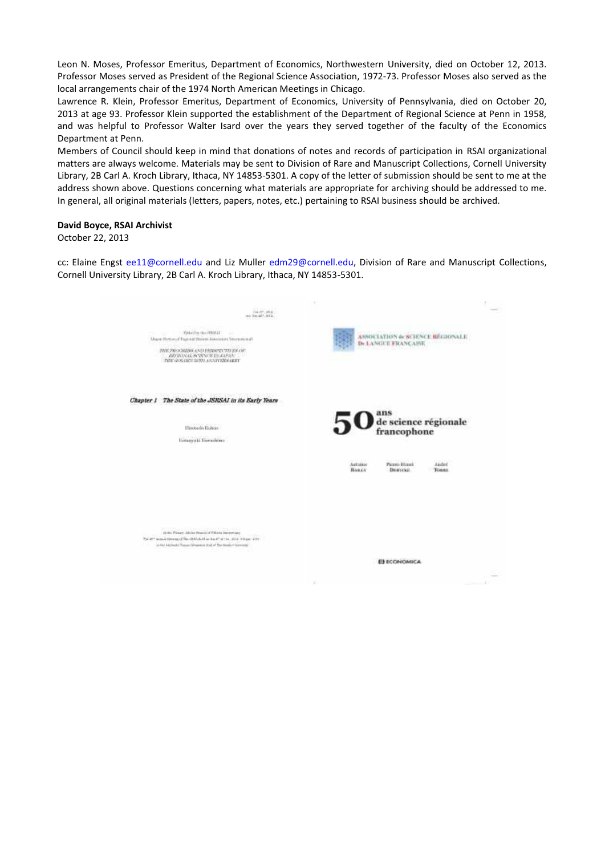Leon N. Moses, Professor Emeritus, Department of Economics, Northwestern University, died on October 12, 2013. Professor Moses served as President of the Regional Science Association, 1972-73. Professor Moses also served as the local arrangements chair of the 1974 North American Meetings in Chicago.

Lawrence R. Klein, Professor Emeritus, Department of Economics, University of Pennsylvania, died on October 20, 2013 at age 93. Professor Klein supported the establishment of the Department of Regional Science at Penn in 1958, and was helpful to Professor Walter Isard over the years they served together of the faculty of the Economics Department at Penn.

Members of Council should keep in mind that donations of notes and records of participation in RSAI organizational matters are always welcome. Materials may be sent to Division of Rare and Manuscript Collections, Cornell University Library, 2B Carl A. Kroch Library, Ithaca, NY 14853-5301. A copy of the letter of submission should be sent to me at the address shown above. Questions concerning what materials are appropriate for archiving should be addressed to me. In general, all original materials (letters, papers, notes, etc.) pertaining to RSAI business should be archived.

### **David Boyce, RSAI Archivist**

October 22, 2013

cc: Elaine Engst ee11@cornell.edu and Liz Muller edm29@cornell.edu, Division of Rare and Manuscript Collections, Cornell University Library, 2B Carl A. Kroch Library, Ithaca, NY 14853-5301.

| Weighter on afterly<br><b>PETER REDUC</b><br>14.11<br>Unper Howard Engels (Normal American International<br>THE PROGRESS AND PRISPENTS EX OF<br>BEGINNAL SCIENCE IN JAPAN:<br>THE GOLDEN SHIPLANN CONSUMERY | ASSOCIATION & SCIENCE REGIONALE<br>De LANGUE FRANÇAINE                       |
|-------------------------------------------------------------------------------------------------------------------------------------------------------------------------------------------------------------|------------------------------------------------------------------------------|
| <b>College Control Print</b><br>Chapter 1 The State of the JSRSAI in its Early Years                                                                                                                        |                                                                              |
| Hirotado Rolton<br>Koteayuki Kunashima                                                                                                                                                                      | ans<br>de science régionale<br>francophone                                   |
|                                                                                                                                                                                                             | Autuites<br>Picero-Henri<br>Andrd<br>BAKLY<br><b>DERIVAL</b><br><b>TURRS</b> |
| コウムスタマルチャングリバイザ のというに<br>Miller Planey, Jakina Nowen of Tillians Automotives                                                                                                                                |                                                                              |
| as the Michaels Vences Measured (Lake The Hanker) laterants                                                                                                                                                 | <b>EL ECONOMICA</b>                                                          |
|                                                                                                                                                                                                             |                                                                              |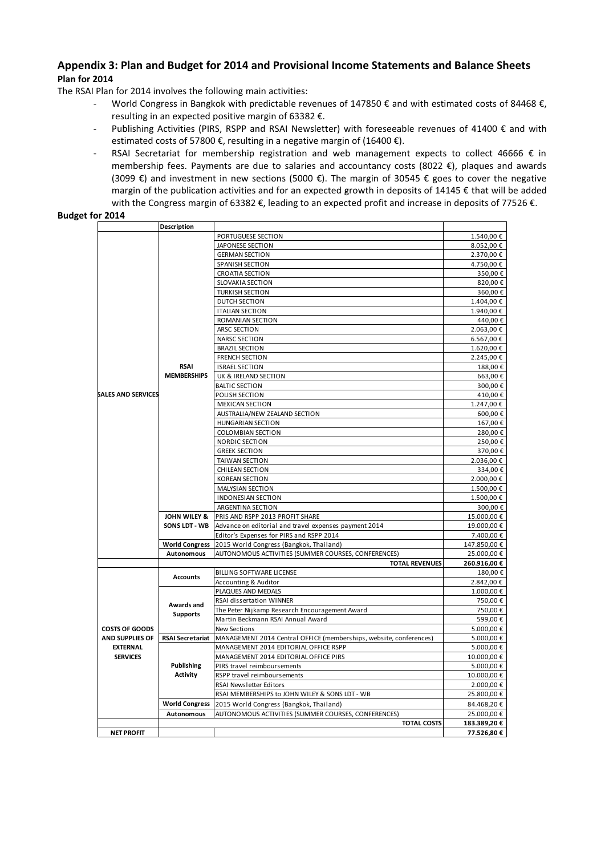## **Appendix 3: Plan and Budget for 2014 and Provisional Income Statements and Balance Sheets Plan for 2014**

The RSAI Plan for 2014 involves the following main activities:

- World Congress in Bangkok with predictable revenues of 147850 € and with estimated costs of 84468 €, resulting in an expected positive margin of 63382 €.
- Publishing Activities (PIRS, RSPP and RSAI Newsletter) with foreseeable revenues of 41400 € and with estimated costs of 57800  $\epsilon$ , resulting in a negative margin of (16400  $\epsilon$ ).
- RSAI Secretariat for membership registration and web management expects to collect 46666  $\epsilon$  in membership fees. Payments are due to salaries and accountancy costs (8022 €), plaques and awards (3099 €) and investment in new sections (5000 €). The margin of 30545 € goes to cover the negative margin of the publication activities and for an expected growth in deposits of 14145 € that will be added with the Congress margin of 63382 €, leading to an expected profit and increase in deposits of 77526 €.

### **Budget for 2014**

|                           | <b>Description</b>                   |                                                                    |             |  |  |
|---------------------------|--------------------------------------|--------------------------------------------------------------------|-------------|--|--|
|                           |                                      | PORTUGUESE SECTION                                                 | 1.540,00€   |  |  |
|                           |                                      | <b>JAPONESE SECTION</b>                                            | 8.052,00€   |  |  |
|                           |                                      | <b>GERMAN SECTION</b>                                              | 2.370,00€   |  |  |
|                           |                                      | <b>SPANISH SECTION</b>                                             | 4.750,00€   |  |  |
|                           |                                      | <b>CROATIA SECTION</b>                                             | 350,00€     |  |  |
|                           |                                      | SLOVAKIA SECTION                                                   | 820,00€     |  |  |
|                           |                                      | <b>TURKISH SECTION</b>                                             | 360,00€     |  |  |
|                           |                                      | DUTCH SECTION                                                      | 1.404,00€   |  |  |
|                           |                                      | <b>ITALIAN SECTION</b>                                             | 1.940,00€   |  |  |
|                           |                                      | <b>ROMANIAN SECTION</b>                                            | 440,00€     |  |  |
|                           |                                      | ARSC SECTION                                                       | 2.063,00 €  |  |  |
|                           |                                      | <b>NARSC SECTION</b>                                               | 6.567,00€   |  |  |
|                           |                                      | <b>BRAZIL SECTION</b>                                              | 1.620,00€   |  |  |
|                           |                                      | <b>FRENCH SECTION</b>                                              | 2.245,00€   |  |  |
|                           | <b>RSAI</b>                          | <b>ISRAEL SECTION</b>                                              | 188,00€     |  |  |
|                           | <b>MEMBERSHIPS</b>                   | UK & IRELAND SECTION                                               | 663,00€     |  |  |
|                           |                                      | <b>BALTIC SECTION</b>                                              | 300,00€     |  |  |
| <b>SALES AND SERVICES</b> |                                      | POLISH SECTION                                                     | 410,00€     |  |  |
|                           |                                      | <b>MEXICAN SECTION</b>                                             | 1.247,00€   |  |  |
|                           |                                      | AUSTRALIA/NEW ZEALAND SECTION                                      | 600,00€     |  |  |
|                           |                                      | <b>HUNGARIAN SECTION</b>                                           | 167,00€     |  |  |
|                           |                                      | COLOMBIAN SECTION                                                  | 280,00€     |  |  |
|                           |                                      | NORDIC SECTION                                                     | 250,00€     |  |  |
|                           |                                      | <b>GREEK SECTION</b>                                               | 370,00€     |  |  |
|                           |                                      | <b>TAIWAN SECTION</b>                                              | 2.036,00€   |  |  |
|                           |                                      | CHILEAN SECTION                                                    | 334,00€     |  |  |
|                           |                                      | <b>KOREAN SECTION</b>                                              | 2.000,00 €  |  |  |
|                           |                                      | MALYSIAN SECTION                                                   | 1.500,00€   |  |  |
|                           |                                      | <b>INDONESIAN SECTION</b>                                          | 1.500,00 €  |  |  |
|                           |                                      | ARGENTINA SECTION                                                  | 300,00€     |  |  |
|                           | JOHN WILEY &                         | PRIS AND RSPP 2013 PROFIT SHARE                                    | 15.000,00€  |  |  |
|                           | SONS LDT - WB                        | Advance on editorial and travel expenses payment 2014              | 19.000,00€  |  |  |
|                           |                                      | Editor's Expenses for PIRS and RSPP 2014                           | 7.400,00 €  |  |  |
|                           | <b>World Congress</b>                | 2015 World Congress (Bangkok, Thailand)                            | 147.850,00€ |  |  |
|                           | <b>Autonomous</b>                    | AUTONOMOUS ACTIVITIES (SUMMER COURSES, CONFERENCES)                | 25.000,00€  |  |  |
|                           |                                      | <b>TOTAL REVENUES</b>                                              | 260.916,00€ |  |  |
|                           |                                      | <b>BILLING SOFTWARE LICENSE</b>                                    | 180,00€     |  |  |
|                           | <b>Accounts</b>                      | <b>Accounting &amp; Auditor</b>                                    | 2.842,00€   |  |  |
|                           |                                      | PLAQUES AND MEDALS                                                 | 1.000,00€   |  |  |
|                           |                                      | RSAI dissertation WINNER                                           | 750,00€     |  |  |
|                           | Awards and                           | The Peter Nijkamp Research Encouragement Award                     | 750,00€     |  |  |
|                           | <b>Supports</b>                      | Martin Beckmann RSAI Annual Award                                  | 599,00€     |  |  |
| <b>COSTS OF GOODS</b>     |                                      | <b>New Sections</b>                                                | 5.000,00 €  |  |  |
| <b>AND SUPPLIES OF</b>    | <b>RSAI Secretariat</b>              | MANAGEMENT 2014 Central OFFICE (memberships, website, conferences) | 5.000,00 €  |  |  |
| <b>EXTERNAL</b>           |                                      | MANAGEMENT 2014 EDITORIAL OFFICE RSPP                              | 5.000,00 €  |  |  |
| <b>SERVICES</b>           |                                      | MANAGEMENT 2014 EDITORIAL OFFICE PIRS                              | 10.000,00€  |  |  |
|                           | <b>Publishing</b><br><b>Activity</b> | PIRS travel reimboursements                                        | 5.000,00 €  |  |  |
|                           |                                      | RSPP travel reimboursements                                        | 10.000,00€  |  |  |
|                           |                                      | RSAI Newsletter Editors                                            | 2.000,00 €  |  |  |
|                           |                                      | RSAI MEMBERSHIPS to JOHN WILEY & SONS LDT - WB                     | 25.800,00€  |  |  |
|                           | <b>World Congress</b>                |                                                                    | 84.468,20€  |  |  |
|                           |                                      | 2015 World Congress (Bangkok, Thailand)                            |             |  |  |
|                           | <b>Autonomous</b>                    | AUTONOMOUS ACTIVITIES (SUMMER COURSES, CONFERENCES)                | 25.000,00€  |  |  |
|                           |                                      | <b>TOTAL COSTS</b>                                                 | 183.389,20€ |  |  |
| <b>NET PROFIT</b>         |                                      |                                                                    | 77.526,80 € |  |  |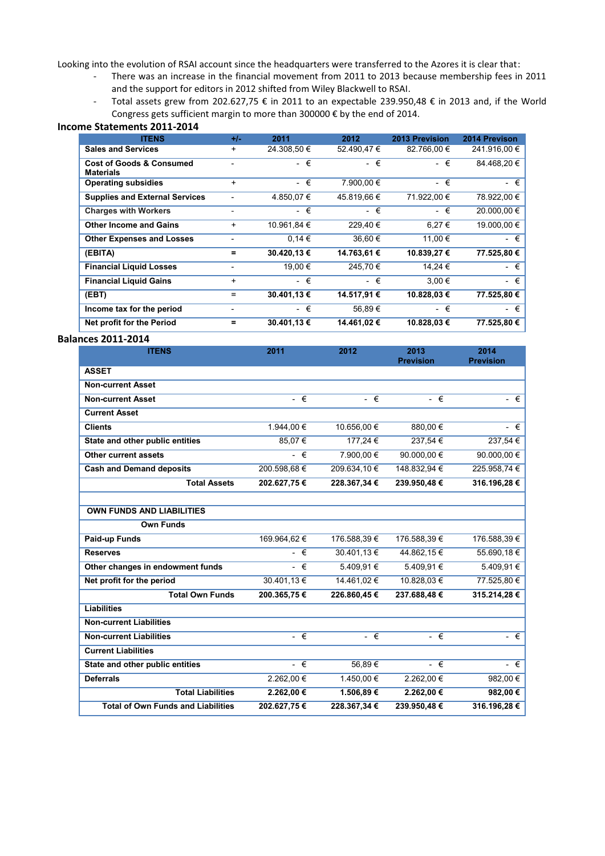Looking into the evolution of RSAI account since the headquarters were transferred to the Azores it is clear that:

- There was an increase in the financial movement from 2011 to 2013 because membership fees in 2011 and the support for editors in 2012 shifted from Wiley Blackwell to RSAI.
- Total assets grew from 202.627,75 € in 2011 to an expectable 239.950,48 € in 2013 and, if the World Congress gets sufficient margin to more than 300000 € by the end of 2014.

### **Income Statements 2011-2014**

| <b>ITENS</b>                                            | $+/-$     | 2011        | 2012        | 2013 Prevision | 2014 Previson |
|---------------------------------------------------------|-----------|-------------|-------------|----------------|---------------|
| <b>Sales and Services</b>                               | +         | 24.308,50 € | 52.490,47€  | 82.766.00 €    | 241.916.00 €  |
| <b>Cost of Goods &amp; Consumed</b><br><b>Materials</b> |           | - €         | $ \in$      | - €            | 84.468.20 €   |
| <b>Operating subsidies</b>                              | $\ddot{}$ | - €         | 7.900.00 €  | - €            | - €           |
| <b>Supplies and External Services</b>                   |           | 4.850,07 €  | 45.819.66 € | 71.922.00 €    | 78.922,00 €   |
| <b>Charges with Workers</b>                             |           | - €         | $ \in$      | - €            | 20.000.00 €   |
| <b>Other Income and Gains</b>                           | $\ddot{}$ | 10.961,84 € | 229.40€     | 6.27 €         | 19.000.00 €   |
| <b>Other Expenses and Losses</b>                        |           | 0.14€       | 36.60€      | 11.00 €        | - €           |
| (EBITA)                                                 | =         | 30.420,13 € | 14.763,61 € | 10.839,27€     | 77.525,80 €   |
| <b>Financial Liquid Losses</b>                          |           | 19.00 €     | 245.70€     | 14,24 €        | - €           |
| <b>Financial Liquid Gains</b>                           | $\ddot{}$ | - €         | - €         | 3.00 €         | - €           |
| (EBT)                                                   | $=$       | 30.401,13 € | 14.517,91 € | 10.828,03 €    | 77.525,80 €   |
| Income tax for the period                               |           | - €         | 56,89€      | - €            | - €           |
| Net profit for the Period                               | =         | 30.401,13 € | 14.461,02 € | 10.828.03 €    | 77.525.80 €   |

### **Balances 2011-2014**

| 2011         | 2012         | 2013<br><b>Prevision</b> | 2014<br><b>Prevision</b> |
|--------------|--------------|--------------------------|--------------------------|
|              |              |                          |                          |
|              |              |                          |                          |
| $ \epsilon$  | $ \epsilon$  | $ \epsilon$              | - €                      |
|              |              |                          |                          |
| 1.944.00 €   | 10.656.00 €  | 880.00 €                 | $ \epsilon$              |
| 85.07 €      | 177.24 €     | 237.54 €                 | 237.54 €                 |
| $ \epsilon$  | 7.900.00 €   | 90.000.00 €              | 90.000.00 $\in$          |
| 200.598.68 € | 209.634.10 € | 148.832.94 €             | 225.958.74 €             |
| 202.627,75 € | 228.367,34 € | 239.950,48€              | 316.196,28€              |
|              |              |                          |                          |

| <b>OWN FUNDS AND LIABILITIES</b>          |             |              |              |              |
|-------------------------------------------|-------------|--------------|--------------|--------------|
| <b>Own Funds</b>                          |             |              |              |              |
| Paid-up Funds                             | 169.964,62€ | 176.588.39 € | 176.588.39 € | 176.588,39 € |
| <b>Reserves</b>                           | - €         | 30.401.13 €  | 44.862,15 €  | 55.690,18 €  |
| Other changes in endowment funds          | - €         | 5.409.91 €   | 5.409.91 €   | 5.409.91 €   |
| Net profit for the period                 | 30.401.13 € | 14.461.02 €  | 10.828.03 €  | 77.525.80 €  |
| <b>Total Own Funds</b>                    | 200.365.75€ | 226.860.45€  | 237.688,48€  | 315.214,28€  |
| <b>Liabilities</b>                        |             |              |              |              |
| <b>Non-current Liabilities</b>            |             |              |              |              |
| <b>Non-current Liabilities</b>            | $ \epsilon$ | - €          | $ \epsilon$  | - €          |
| <b>Current Liabilities</b>                |             |              |              |              |
| State and other public entities           | $ \epsilon$ | 56.89€       | - €          | $ \epsilon$  |
| <b>Deferrals</b>                          | 2.262,00 €  | 1.450,00 €   | 2.262.00 €   | 982,00 €     |
| <b>Total Liabilities</b>                  | 2.262.00 €  | 1.506.89€    | 2.262.00 €   | 982.00 €     |
| <b>Total of Own Funds and Liabilities</b> | 202.627,75€ | 228.367,34 € | 239.950,48€  | 316.196,28€  |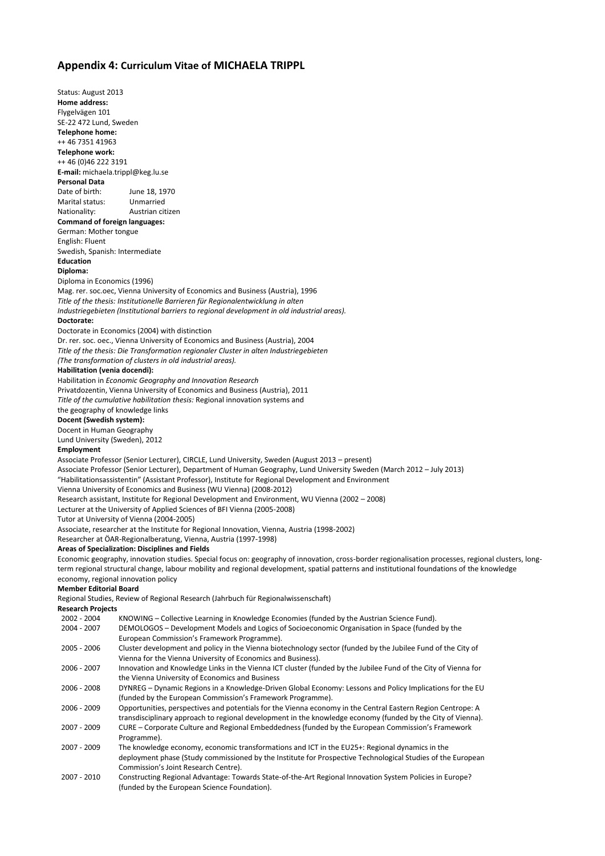### **Appendix 4: Curriculum Vitae of MICHAELA TRIPPL**

Status: August 2013 **Home address:**  Flygelvägen 101 SE-22 472 Lund, Sweden **Telephone home:**  ++ 46 7351 41963 **Telephone work:**  ++ 46 (0)46 222 3191 **E-mail:** michaela.trippl@keg.lu.se **Personal Data**  Date of birth: June 18, 1970 Marital status: Unmarried Nationality: Austrian citizen **Command of foreign languages:**  German: Mother tongue English: Fluent Swedish, Spanish: Intermediate **Education Diploma:**  Diploma in Economics (1996) Mag. rer. soc.oec, Vienna University of Economics and Business (Austria), 1996 *Title of the thesis: Institutionelle Barrieren für Regionalentwicklung in alten Industriegebieten (Institutional barriers to regional development in old industrial areas).*  **Doctorate:**  Doctorate in Economics (2004) with distinction Dr. rer. soc. oec., Vienna University of Economics and Business (Austria), 2004 *Title of the thesis: Die Transformation regionaler Cluster in alten Industriegebieten (The transformation of clusters in old industrial areas).* **Habilitation (venia docendi):**  Habilitation in *Economic Geography and Innovation Research*  Privatdozentin, Vienna University of Economics and Business (Austria), 2011 *Title of the cumulative habilitation thesis:* Regional innovation systems and the geography of knowledge links **Docent (Swedish system):**  Docent in Human Geography Lund University (Sweden), 2012 **Employment**  Associate Professor (Senior Lecturer), CIRCLE, Lund University, Sweden (August 2013 – present) Associate Professor (Senior Lecturer), Department of Human Geography, Lund University Sweden (March 2012 – July 2013) "Habilitationsassistentin" (Assistant Professor), Institute for Regional Development and Environment Vienna University of Economics and Business (WU Vienna) (2008-2012) Research assistant, Institute for Regional Development and Environment, WU Vienna (2002 – 2008) Lecturer at the University of Applied Sciences of BFI Vienna (2005-2008) Tutor at University of Vienna (2004-2005) Associate, researcher at the Institute for Regional Innovation, Vienna, Austria (1998-2002) Researcher at ÖAR-Regionalberatung, Vienna, Austria (1997-1998) **Areas of Specialization: Disciplines and Fields**  Economic geography, innovation studies. Special focus on: geography of innovation, cross-border regionalisation processes, regional clusters, longterm regional structural change, labour mobility and regional development, spatial patterns and institutional foundations of the knowledge economy, regional innovation policy **Member Editorial Board**  Regional Studies, Review of Regional Research (Jahrbuch für Regionalwissenschaft) **Research Projects**  2002 - 2004 KNOWING – Collective Learning in Knowledge Economies (funded by the Austrian Science Fund). DEMOLOGOS - Development Models and Logics of Socioeconomic Organisation in Space (funded by the European Commission's Framework Programme). 2005 - 2006 Cluster development and policy in the Vienna biotechnology sector (funded by the Jubilee Fund of the City of Vienna for the Vienna University of Economics and Business). 2006 - 2007 Innovation and Knowledge Links in the Vienna ICT cluster (funded by the Jubilee Fund of the City of Vienna for the Vienna University of Economics and Business 2006 - 2008 DYNREG – Dynamic Regions in a Knowledge-Driven Global Economy: Lessons and Policy Implications for the EU (funded by the European Commission's Framework Programme). 2006 - 2009 Opportunities, perspectives and potentials for the Vienna economy in the Central Eastern Region Centrope: A transdisciplinary approach to regional development in the knowledge economy (funded by the City of Vienna). 2007 - 2009 CURE – Corporate Culture and Regional Embeddedness (funded by the European Commission's Framework Programme). 2007 - 2009 The knowledge economy, economic transformations and ICT in the EU25+: Regional dynamics in the deployment phase (Study commissioned by the Institute for Prospective Technological Studies of the European Commission's Joint Research Centre). 2007 - 2010 Constructing Regional Advantage: Towards State-of-the-Art Regional Innovation System Policies in Europe? (funded by the European Science Foundation).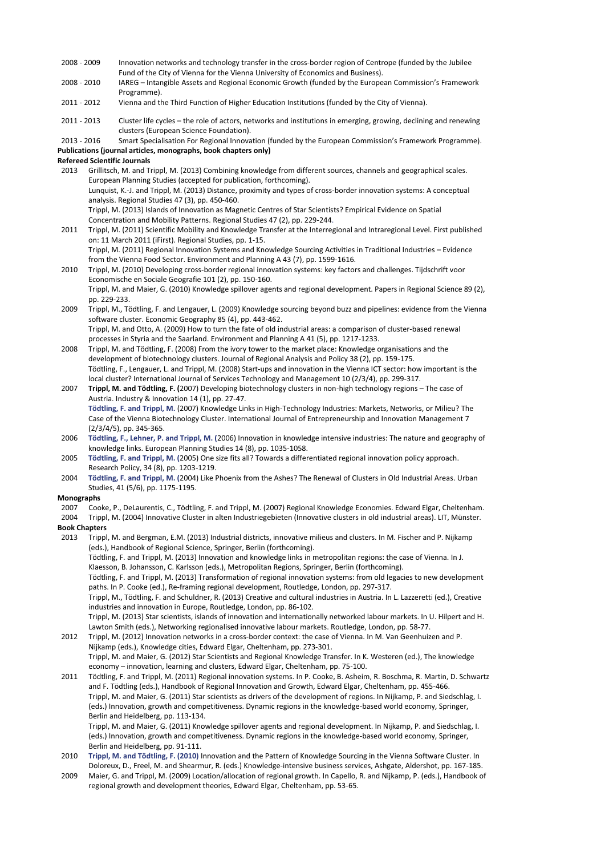- 2008 2009 Innovation networks and technology transfer in the cross-border region of Centrope (funded by the Jubilee Fund of the City of Vienna for the Vienna University of Economics and Business).
- 2008 2010 IAREG Intangible Assets and Regional Economic Growth (funded by the European Commission's Framework Programme).

2011 - 2012 Vienna and the Third Function of Higher Education Institutions (funded by the City of Vienna).

2011 - 2013 Cluster life cycles – the role of actors, networks and institutions in emerging, growing, declining and renewing clusters (European Science Foundation).

2013 - 2016 Smart Specialisation For Regional Innovation (funded by the European Commission's Framework Programme). **Publications (journal articles, monographs, book chapters only)** 

#### **Refereed Scientific Journals**

- 2013 Grillitsch, M. and Trippl, M. (2013) Combining knowledge from different sources, channels and geographical scales. European Planning Studies (accepted for publication, forthcoming). Lunquist, K.-J. and Trippl, M. (2013) Distance, proximity and types of cross-border innovation systems: A conceptual analysis. Regional Studies 47 (3), pp. 450-460. Trippl, M. (2013) Islands of Innovation as Magnetic Centres of Star Scientists? Empirical Evidence on Spatial Concentration and Mobility Patterns. Regional Studies 47 (2), pp. 229-244.
- 2011 Trippl, M. (2011) Scientific Mobility and Knowledge Transfer at the Interregional and Intraregional Level. First published on: 11 March 2011 (iFirst). Regional Studies, pp. 1-15. Trippl, M. (2011) Regional Innovation Systems and Knowledge Sourcing Activities in Traditional Industries – Evidence
- from the Vienna Food Sector. Environment and Planning A 43 (7), pp. 1599-1616. 2010 Trippl, M. (2010) Developing cross-border regional innovation systems: key factors and challenges. Tijdschrift voor Economische en Sociale Geografie 101 (2), pp. 150-160. Trippl, M. and Maier, G. (2010) Knowledge spillover agents and regional development. Papers in Regional Science 89 (2), pp. 229-233.
- 2009 Trippl, M., Tödtling, F. and Lengauer, L. (2009) Knowledge sourcing beyond buzz and pipelines: evidence from the Vienna software cluster. Economic Geography 85 (4), pp. 443-462. Trippl, M. and Otto, A. (2009) How to turn the fate of old industrial areas: a comparison of cluster-based renewal

processes in Styria and the Saarland. Environment and Planning A 41 (5), pp. 1217-1233. 2008 Trippl, M. and Tödtling, F. (2008) From the ivory tower to the market place: Knowledge organisations and the

- development of biotechnology clusters. Journal of Regional Analysis and Policy 38 (2), pp. 159-175. Tödtling, F., Lengauer, L. and Trippl, M. (2008) Start-ups and innovation in the Vienna ICT sector: how important is the local cluster? International Journal of Services Technology and Management 10 (2/3/4), pp. 299-317.
- 2007 **Trippl, M. and Tödtling, F. (**2007) Developing biotechnology clusters in non-high technology regions The case of Austria. Industry & Innovation 14 (1), pp. 27-47. **Tödtling, F. and Trippl, M.** (2007) Knowledge Links in High-Technology Industries: Markets, Networks, or Milieu? The Case of the Vienna Biotechnology Cluster. International Journal of Entrepreneurship and Innovation Management 7 (2/3/4/5), pp. 345-365.
- 2006 **Tödtling, F., Lehner, P. and Trippl, M. (**2006) Innovation in knowledge intensive industries: The nature and geography of knowledge links. European Planning Studies 14 (8), pp. 1035-1058.

2005 **Tödtling, F. and Trippl, M. (**2005) One size fits all? Towards a differentiated regional innovation policy approach. Research Policy, 34 (8), pp. 1203-1219.

2004 **Tödtling, F. and Trippl, M. (**2004) Like Phoenix from the Ashes? The Renewal of Clusters in Old Industrial Areas. Urban Studies, 41 (5/6), pp. 1175-1195.

### **Monographs**

2007 Cooke, P., DeLaurentis, C., Tödtling, F. and Trippl, M. (2007) Regional Knowledge Economies. Edward Elgar, Cheltenham. 2004 Trippl, M. (2004) Innovative Cluster in alten Industriegebieten (Innovative clusters in old industrial areas). LIT, Münster. **Book Chapters** 

2013 Trippl, M. and Bergman, E.M. (2013) Industrial districts, innovative milieus and clusters. In M. Fischer and P. Nijkamp (eds.), Handbook of Regional Science, Springer, Berlin (forthcoming).

Tödtling, F. and Trippl, M. (2013) Innovation and knowledge links in metropolitan regions: the case of Vienna. In J. Klaesson, B. Johansson, C. Karlsson (eds.), Metropolitan Regions, Springer, Berlin (forthcoming).

Tödtling, F. and Trippl, M. (2013) Transformation of regional innovation systems: from old legacies to new development paths. In P. Cooke (ed.), Re-framing regional development, Routledge, London, pp. 297-317. Trippl, M., Tödtling, F. and Schuldner, R. (2013) Creative and cultural industries in Austria. In L. Lazzeretti (ed.), Creative

industries and innovation in Europe, Routledge, London, pp. 86-102.

Trippl, M. (2013) Star scientists, islands of innovation and internationally networked labour markets. In U. Hilpert and H. Lawton Smith (eds.), Networking regionalised innovative labour markets. Routledge, London, pp. 58-77.

2012 Trippl, M. (2012) Innovation networks in a cross-border context: the case of Vienna. In M. Van Geenhuizen and P. Nijkamp (eds.), Knowledge cities, Edward Elgar, Cheltenham, pp. 273-301. Trippl, M. and Maier, G. (2012) Star Scientists and Regional Knowledge Transfer. In K. Westeren (ed.), The knowledge economy – innovation, learning and clusters, Edward Elgar, Cheltenham, pp. 75-100.

2011 Tödtling, F. and Trippl, M. (2011) Regional innovation systems. In P. Cooke, B. Asheim, R. Boschma, R. Martin, D. Schwartz and F. Tödtling (eds.), Handbook of Regional Innovation and Growth, Edward Elgar, Cheltenham, pp. 455-466. Trippl, M. and Maier, G. (2011) Star scientists as drivers of the development of regions. In Nijkamp, P. and Siedschlag, I. (eds.) Innovation, growth and competitiveness. Dynamic regions in the knowledge-based world economy, Springer, Berlin and Heidelberg, pp. 113-134.

Trippl, M. and Maier, G. (2011) Knowledge spillover agents and regional development. In Nijkamp, P. and Siedschlag, I. (eds.) Innovation, growth and competitiveness. Dynamic regions in the knowledge-based world economy, Springer, Berlin and Heidelberg, pp. 91-111.

- 2010 **Trippl, M. and Tödtling, F. (2010)** Innovation and the Pattern of Knowledge Sourcing in the Vienna Software Cluster. In Doloreux, D., Freel, M. and Shearmur, R. (eds.) Knowledge-intensive business services, Ashgate, Aldershot, pp. 167-185.
- 2009 Maier, G. and Trippl, M. (2009) Location/allocation of regional growth. In Capello, R. and Nijkamp, P. (eds.), Handbook of regional growth and development theories, Edward Elgar, Cheltenham, pp. 53-65.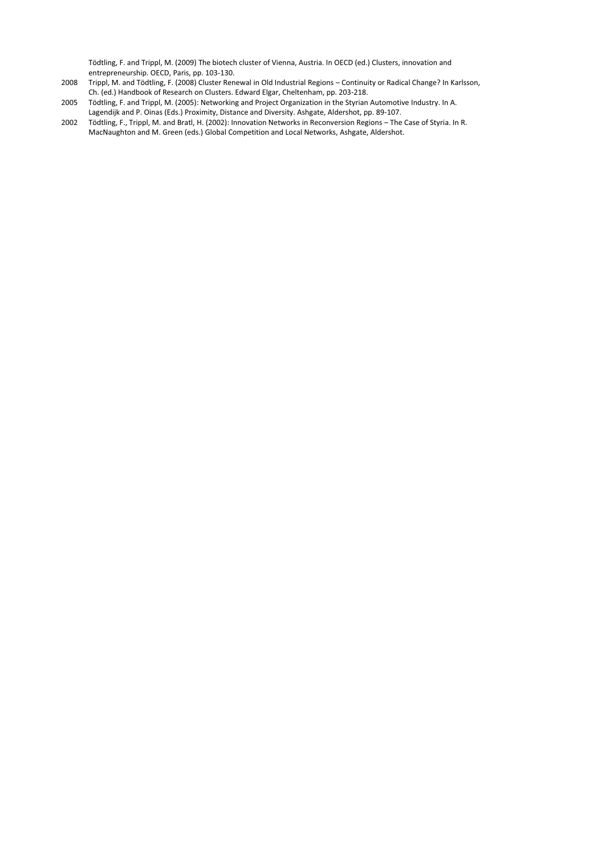Tödtling, F. and Trippl, M. (2009) The biotech cluster of Vienna, Austria. In OECD (ed.) Clusters, innovation and entrepreneurship. OECD, Paris, pp. 103-130.

- 2008 Trippl, M. and Tödtling, F. (2008) Cluster Renewal in Old Industrial Regions Continuity or Radical Change? In Karlsson, Ch. (ed.) Handbook of Research on Clusters. Edward Elgar, Cheltenham, pp. 203-218.
- 2005 Tödtling, F. and Trippl, M. (2005): Networking and Project Organization in the Styrian Automotive Industry. In A. Lagendijk and P. Oinas (Eds.) Proximity, Distance and Diversity. Ashgate, Aldershot, pp. 89-107.
- 2002 Tödtling, F., Trippl, M. and Bratl, H. (2002): Innovation Networks in Reconversion Regions The Case of Styria. In R. MacNaughton and M. Green (eds.) Global Competition and Local Networks, Ashgate, Aldershot.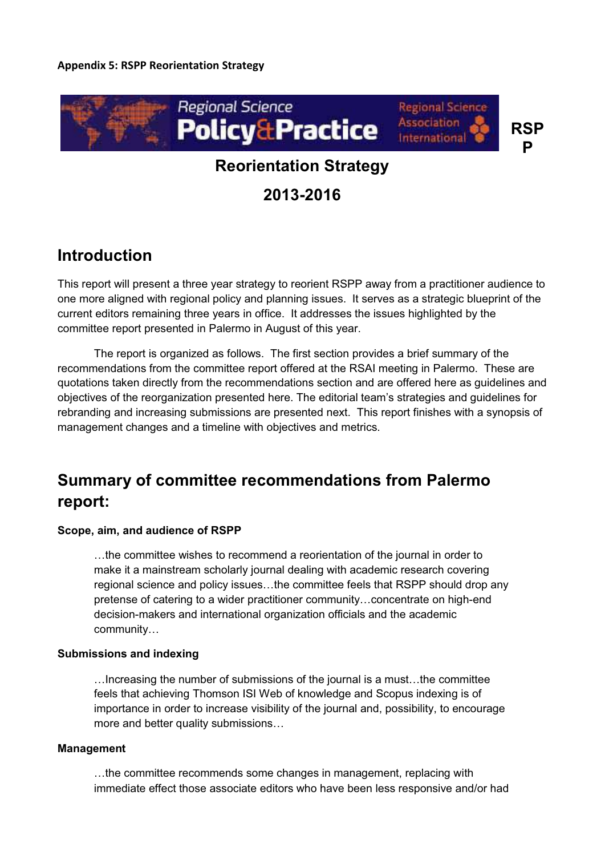

# **Reorientation Strategy**

**2013-2016** 

# **Introduction**

This report will present a three year strategy to reorient RSPP away from a practitioner audience to one more aligned with regional policy and planning issues. It serves as a strategic blueprint of the current editors remaining three years in office. It addresses the issues highlighted by the committee report presented in Palermo in August of this year.

The report is organized as follows. The first section provides a brief summary of the recommendations from the committee report offered at the RSAI meeting in Palermo. These are quotations taken directly from the recommendations section and are offered here as guidelines and objectives of the reorganization presented here. The editorial team's strategies and guidelines for rebranding and increasing submissions are presented next. This report finishes with a synopsis of management changes and a timeline with objectives and metrics.

# **Summary of committee recommendations from Palermo report:**

# **Scope, aim, and audience of RSPP**

…the committee wishes to recommend a reorientation of the journal in order to make it a mainstream scholarly journal dealing with academic research covering regional science and policy issues…the committee feels that RSPP should drop any pretense of catering to a wider practitioner community…concentrate on high-end decision-makers and international organization officials and the academic community…

## **Submissions and indexing**

…Increasing the number of submissions of the journal is a must…the committee feels that achieving Thomson ISI Web of knowledge and Scopus indexing is of importance in order to increase visibility of the journal and, possibility, to encourage more and better quality submissions…

## **Management**

…the committee recommends some changes in management, replacing with immediate effect those associate editors who have been less responsive and/or had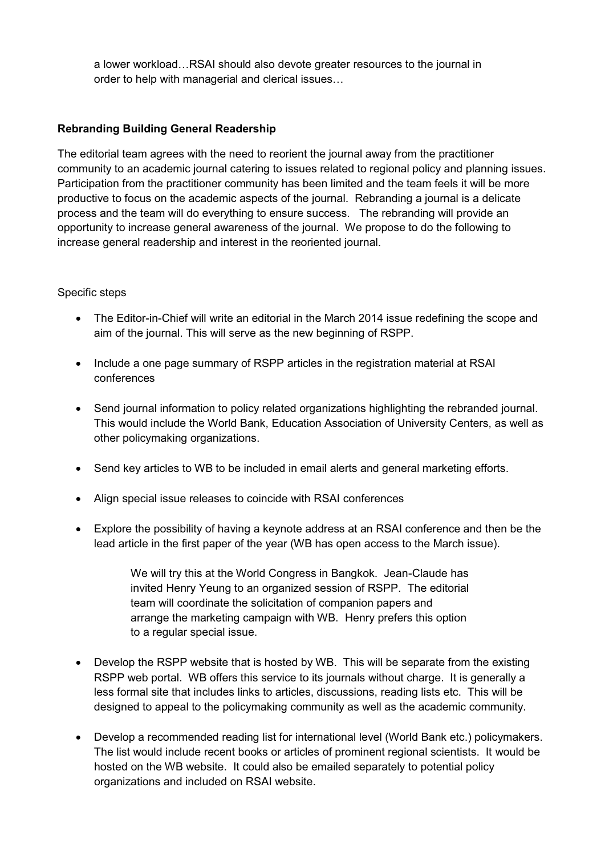a lower workload…RSAI should also devote greater resources to the journal in order to help with managerial and clerical issues…

# **Rebranding Building General Readership**

The editorial team agrees with the need to reorient the journal away from the practitioner community to an academic journal catering to issues related to regional policy and planning issues. Participation from the practitioner community has been limited and the team feels it will be more productive to focus on the academic aspects of the journal. Rebranding a journal is a delicate process and the team will do everything to ensure success. The rebranding will provide an opportunity to increase general awareness of the journal. We propose to do the following to increase general readership and interest in the reoriented journal.

# Specific steps

- $\bullet$  The Editor-in-Chief will write an editorial in the March 2014 issue redefining the scope and aim of the journal. This will serve as the new beginning of RSPP.
- $\bullet$  Include a one page summary of RSPP articles in the registration material at RSAI conferences
- $\bullet$  Send journal information to policy related organizations highlighting the rebranded journal. This would include the World Bank, Education Association of University Centers, as well as other policymaking organizations.
- Send key articles to WB to be included in email alerts and general marketing efforts.
- Align special issue releases to coincide with RSAI conferences
- Explore the possibility of having a keynote address at an RSAI conference and then be the lead article in the first paper of the year (WB has open access to the March issue).

We will try this at the World Congress in Bangkok. Jean-Claude has invited Henry Yeung to an organized session of RSPP. The editorial team will coordinate the solicitation of companion papers and arrange the marketing campaign with WB. Henry prefers this option to a regular special issue.

- Develop the RSPP website that is hosted by WB. This will be separate from the existing RSPP web portal. WB offers this service to its journals without charge. It is generally a less formal site that includes links to articles, discussions, reading lists etc. This will be designed to appeal to the policymaking community as well as the academic community.
- $\bullet$  Develop a recommended reading list for international level (World Bank etc.) policymakers. The list would include recent books or articles of prominent regional scientists. It would be hosted on the WB website. It could also be emailed separately to potential policy organizations and included on RSAI website.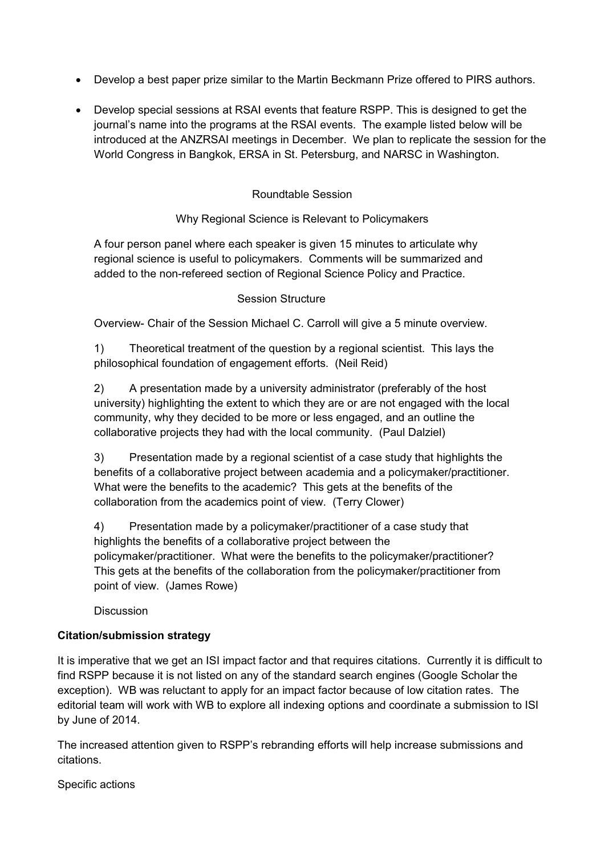- Develop a best paper prize similar to the Martin Beckmann Prize offered to PIRS authors.
- $\bullet$  Develop special sessions at RSAI events that feature RSPP. This is designed to get the journal's name into the programs at the RSAI events. The example listed below will be introduced at the ANZRSAI meetings in December. We plan to replicate the session for the World Congress in Bangkok, ERSA in St. Petersburg, and NARSC in Washington.

# Roundtable Session

# Why Regional Science is Relevant to Policymakers

A four person panel where each speaker is given 15 minutes to articulate why regional science is useful to policymakers. Comments will be summarized and added to the non-refereed section of Regional Science Policy and Practice.

# Session Structure

Overview- Chair of the Session Michael C. Carroll will give a 5 minute overview.

1) Theoretical treatment of the question by a regional scientist. This lays the philosophical foundation of engagement efforts. (Neil Reid)

2) A presentation made by a university administrator (preferably of the host university) highlighting the extent to which they are or are not engaged with the local community, why they decided to be more or less engaged, and an outline the collaborative projects they had with the local community. (Paul Dalziel)

3) Presentation made by a regional scientist of a case study that highlights the benefits of a collaborative project between academia and a policymaker/practitioner. What were the benefits to the academic? This gets at the benefits of the collaboration from the academics point of view. (Terry Clower)

4) Presentation made by a policymaker/practitioner of a case study that highlights the benefits of a collaborative project between the policymaker/practitioner. What were the benefits to the policymaker/practitioner? This gets at the benefits of the collaboration from the policymaker/practitioner from point of view. (James Rowe)

**Discussion** 

# **Citation/submission strategy**

It is imperative that we get an ISI impact factor and that requires citations. Currently it is difficult to find RSPP because it is not listed on any of the standard search engines (Google Scholar the exception). WB was reluctant to apply for an impact factor because of low citation rates. The editorial team will work with WB to explore all indexing options and coordinate a submission to ISI by June of 2014.

The increased attention given to RSPP's rebranding efforts will help increase submissions and citations.

Specific actions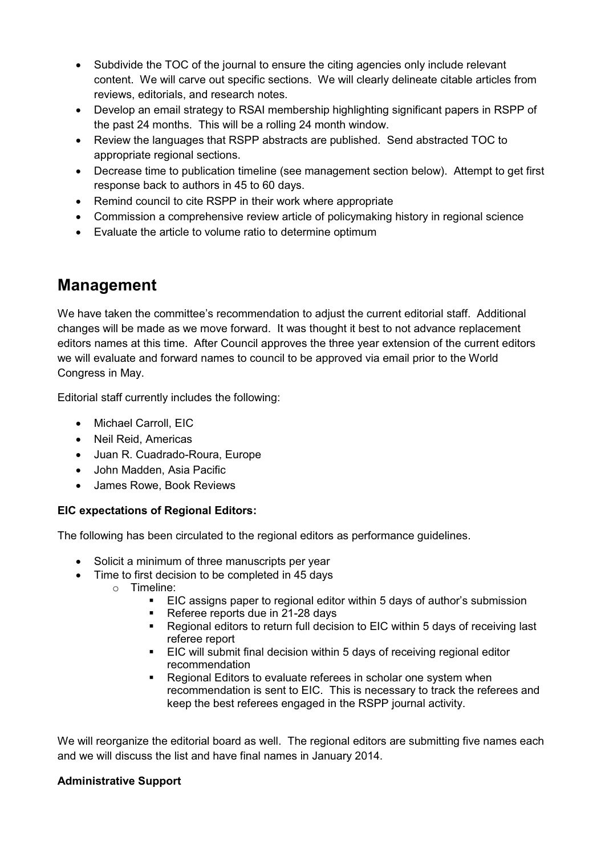- Subdivide the TOC of the journal to ensure the citing agencies only include relevant content. We will carve out specific sections. We will clearly delineate citable articles from reviews, editorials, and research notes.
- $\bullet$  Develop an email strategy to RSAI membership highlighting significant papers in RSPP of the past 24 months. This will be a rolling 24 month window.
- $\bullet$  Review the languages that RSPP abstracts are published. Send abstracted TOC to appropriate regional sections.
- $\bullet$  Decrease time to publication timeline (see management section below). Attempt to get first response back to authors in 45 to 60 days.
- Remind council to cite RSPP in their work where appropriate
- Commission a comprehensive review article of policymaking history in regional science
- Evaluate the article to volume ratio to determine optimum

# **Management**

We have taken the committee's recommendation to adjust the current editorial staff. Additional changes will be made as we move forward. It was thought it best to not advance replacement editors names at this time. After Council approves the three year extension of the current editors we will evaluate and forward names to council to be approved via email prior to the World Congress in May.

Editorial staff currently includes the following:

- Michael Carroll, EIC
- Neil Reid, Americas
- Juan R. Cuadrado-Roura, Europe
- John Madden, Asia Pacific
- $\bullet$ James Rowe, Book Reviews

# **EIC expectations of Regional Editors:**

The following has been circulated to the regional editors as performance guidelines.

- Solicit a minimum of three manuscripts per year
- Time to first decision to be completed in 45 days
	- o Timeline:
		- -EIC assigns paper to regional editor within 5 days of author's submission
		- Referee reports due in 21-28 days
		- Regional editors to return full decision to EIC within 5 days of receiving last referee report
		- EIC will submit final decision within 5 days of receiving regional editor recommendation
		- - Regional Editors to evaluate referees in scholar one system when recommendation is sent to EIC. This is necessary to track the referees and keep the best referees engaged in the RSPP journal activity.

We will reorganize the editorial board as well. The regional editors are submitting five names each and we will discuss the list and have final names in January 2014.

# **Administrative Support**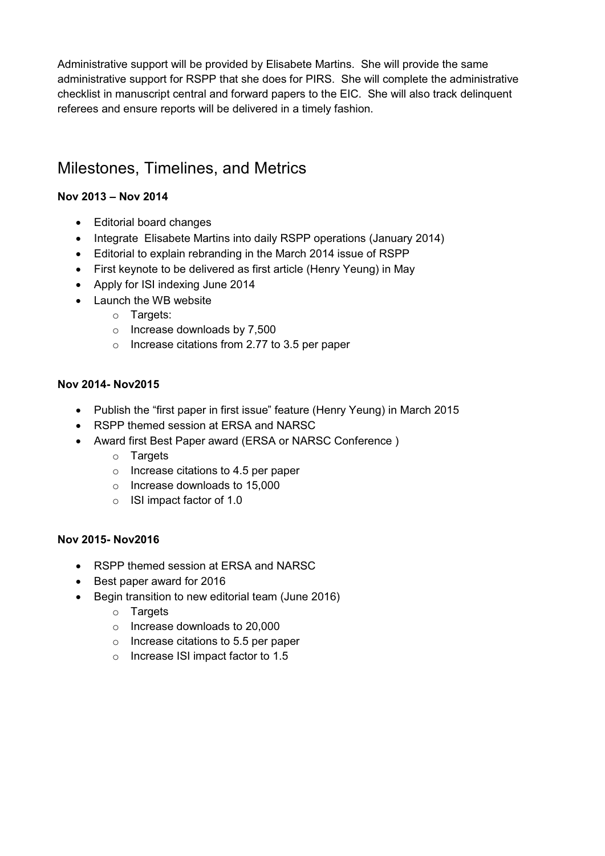Administrative support will be provided by Elisabete Martins. She will provide the same administrative support for RSPP that she does for PIRS. She will complete the administrative checklist in manuscript central and forward papers to the EIC. She will also track delinquent referees and ensure reports will be delivered in a timely fashion.

# Milestones, Timelines, and Metrics

# **Nov 2013 – Nov 2014**

- Editorial board changes
- Integrate Elisabete Martins into daily RSPP operations (January 2014)
- Editorial to explain rebranding in the March 2014 issue of RSPP
- First keynote to be delivered as first article (Henry Yeung) in May
- Apply for ISI indexing June 2014
- Launch the WB website
	- o Targets:
	- o Increase downloads by 7,500
	- o Increase citations from 2.77 to 3.5 per paper

# **Nov 2014- Nov2015**

- Publish the "first paper in first issue" feature (Henry Yeung) in March 2015
- RSPP themed session at ERSA and NARSC
- Award first Best Paper award (ERSA or NARSC Conference )
	- o Targets
	- o Increase citations to 4.5 per paper
	- o Increase downloads to 15,000
	- o ISI impact factor of 1.0

# **Nov 2015- Nov2016**

- RSPP themed session at ERSA and NARSC
- Best paper award for 2016
- Begin transition to new editorial team (June 2016)
	- $\circ$  Targets
	- o Increase downloads to 20,000
	- o Increase citations to 5.5 per paper
	- o Increase ISI impact factor to 1.5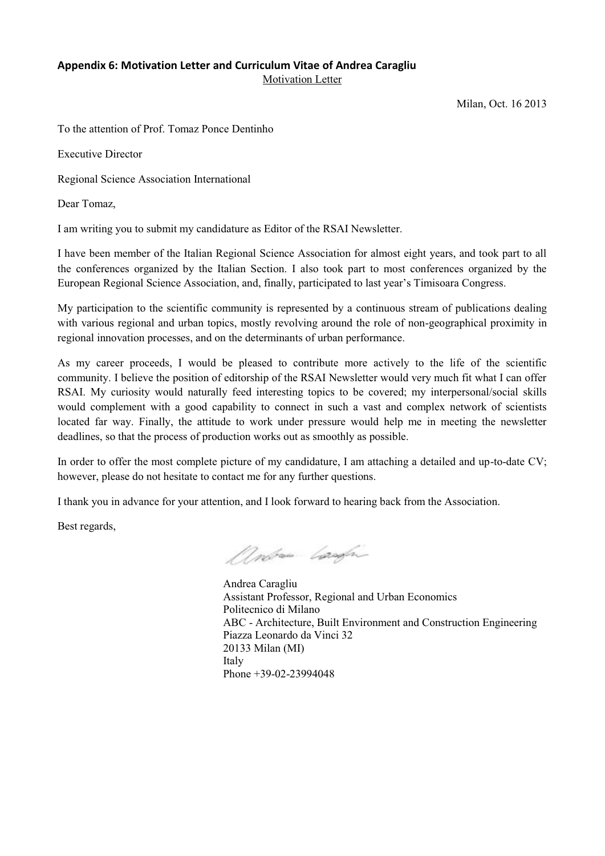# **Appendix 6: Motivation Letter and Curriculum Vitae of Andrea Caragliu**

Motivation Letter

Milan, Oct. 16 2013

To the attention of Prof. Tomaz Ponce Dentinho

Executive Director

Regional Science Association International

Dear Tomaz,

I am writing you to submit my candidature as Editor of the RSAI Newsletter.

I have been member of the Italian Regional Science Association for almost eight years, and took part to all the conferences organized by the Italian Section. I also took part to most conferences organized by the European Regional Science Association, and, finally, participated to last year's Timisoara Congress.

My participation to the scientific community is represented by a continuous stream of publications dealing with various regional and urban topics, mostly revolving around the role of non-geographical proximity in regional innovation processes, and on the determinants of urban performance.

As my career proceeds, I would be pleased to contribute more actively to the life of the scientific community. I believe the position of editorship of the RSAI Newsletter would very much fit what I can offer RSAI. My curiosity would naturally feed interesting topics to be covered; my interpersonal/social skills would complement with a good capability to connect in such a vast and complex network of scientists located far way. Finally, the attitude to work under pressure would help me in meeting the newsletter deadlines, so that the process of production works out as smoothly as possible.

In order to offer the most complete picture of my candidature, I am attaching a detailed and up-to-date CV; however, please do not hesitate to contact me for any further questions.

I thank you in advance for your attention, and I look forward to hearing back from the Association.

Best regards,

Andrew Laugh

Andrea Caragliu Assistant Professor, Regional and Urban Economics Politecnico di Milano ABC - Architecture, Built Environment and Construction Engineering Piazza Leonardo da Vinci 32 20133 Milan (MI) Italy Phone +39-02-23994048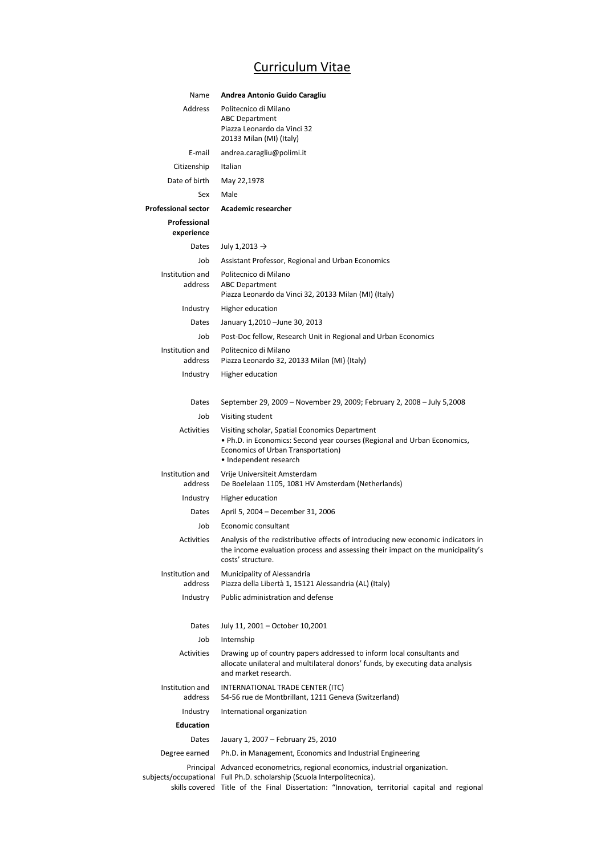# Curriculum Vitae

| Name                       | Andrea Antonio Guido Caragliu                                                                                                                                                                                                                             |
|----------------------------|-----------------------------------------------------------------------------------------------------------------------------------------------------------------------------------------------------------------------------------------------------------|
| Address                    | Politecnico di Milano<br><b>ABC Department</b><br>Piazza Leonardo da Vinci 32<br>20133 Milan (MI) (Italy)                                                                                                                                                 |
| E-mail                     | andrea.caragliu@polimi.it                                                                                                                                                                                                                                 |
| Citizenship                | Italian                                                                                                                                                                                                                                                   |
| Date of birth              | May 22,1978                                                                                                                                                                                                                                               |
| Sex                        | Male                                                                                                                                                                                                                                                      |
| <b>Professional sector</b> | <b>Academic researcher</b>                                                                                                                                                                                                                                |
| Professional<br>experience |                                                                                                                                                                                                                                                           |
| Dates                      | July 1,2013 $\rightarrow$                                                                                                                                                                                                                                 |
| Job                        | Assistant Professor, Regional and Urban Economics                                                                                                                                                                                                         |
| Institution and<br>address | Politecnico di Milano<br><b>ABC Department</b><br>Piazza Leonardo da Vinci 32, 20133 Milan (MI) (Italy)                                                                                                                                                   |
| Industry                   | Higher education                                                                                                                                                                                                                                          |
| Dates                      | January 1,2010 - June 30, 2013                                                                                                                                                                                                                            |
| Job                        | Post-Doc fellow, Research Unit in Regional and Urban Economics                                                                                                                                                                                            |
| Institution and<br>address | Politecnico di Milano<br>Piazza Leonardo 32, 20133 Milan (MI) (Italy)                                                                                                                                                                                     |
| Industry                   | Higher education                                                                                                                                                                                                                                          |
| Dates                      | September 29, 2009 – November 29, 2009; February 2, 2008 – July 5,2008                                                                                                                                                                                    |
| Job                        | Visiting student                                                                                                                                                                                                                                          |
| <b>Activities</b>          | Visiting scholar, Spatial Economics Department<br>. Ph.D. in Economics: Second year courses (Regional and Urban Economics,<br>Economics of Urban Transportation)<br>• Independent research                                                                |
| Institution and<br>address | Vrije Universiteit Amsterdam<br>De Boelelaan 1105, 1081 HV Amsterdam (Netherlands)                                                                                                                                                                        |
| Industry                   | Higher education                                                                                                                                                                                                                                          |
| Dates                      | April 5, 2004 - December 31, 2006                                                                                                                                                                                                                         |
| Job                        | Economic consultant                                                                                                                                                                                                                                       |
| Activities                 | Analysis of the redistributive effects of introducing new economic indicators in<br>the income evaluation process and assessing their impact on the municipality's<br>costs' structure.                                                                   |
| Institution and<br>address | Municipality of Alessandria<br>Piazza della Libertà 1, 15121 Alessandria (AL) (Italy)                                                                                                                                                                     |
| Industry                   | Public administration and defense                                                                                                                                                                                                                         |
| Dates                      | July 11, 2001 - October 10,2001                                                                                                                                                                                                                           |
| Job                        | Internship                                                                                                                                                                                                                                                |
| <b>Activities</b>          | Drawing up of country papers addressed to inform local consultants and<br>allocate unilateral and multilateral donors' funds, by executing data analysis<br>and market research.                                                                          |
| Institution and<br>address | INTERNATIONAL TRADE CENTER (ITC)<br>54-56 rue de Montbrillant, 1211 Geneva (Switzerland)                                                                                                                                                                  |
| Industry                   | International organization                                                                                                                                                                                                                                |
| <b>Education</b>           |                                                                                                                                                                                                                                                           |
| Dates                      | Jauary 1, 2007 - February 25, 2010                                                                                                                                                                                                                        |
| Degree earned              | Ph.D. in Management, Economics and Industrial Engineering                                                                                                                                                                                                 |
|                            | Principal Advanced econometrics, regional economics, industrial organization.<br>subjects/occupational Full Ph.D. scholarship (Scuola Interpolitecnica).<br>skills covered Title of the Final Dissertation: "Innovation, territorial capital and regional |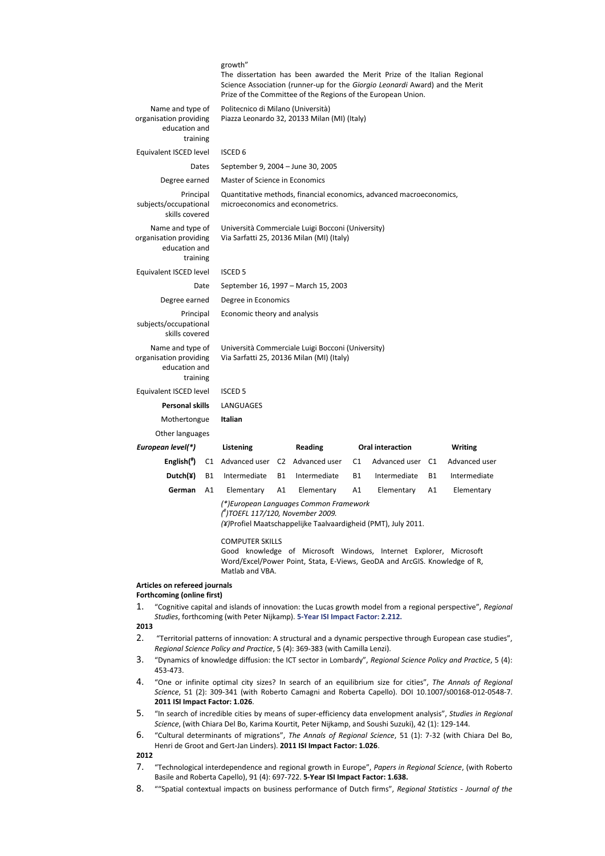|                                                                         |                                            | growth"                                                                                        |                                     | The dissertation has been awarded the Merit Prize of the Italian Regional<br>Science Association (runner-up for the Giorgio Leonardi Award) and the Merit<br>Prize of the Committee of the Regions of the European Union. |           |                  |    |                |
|-------------------------------------------------------------------------|--------------------------------------------|------------------------------------------------------------------------------------------------|-------------------------------------|---------------------------------------------------------------------------------------------------------------------------------------------------------------------------------------------------------------------------|-----------|------------------|----|----------------|
| Name and type of<br>organisation providing<br>education and<br>training |                                            | Politecnico di Milano (Università)<br>Piazza Leonardo 32, 20133 Milan (MI) (Italy)             |                                     |                                                                                                                                                                                                                           |           |                  |    |                |
| Equivalent ISCED level                                                  |                                            | <b>ISCED 6</b>                                                                                 |                                     |                                                                                                                                                                                                                           |           |                  |    |                |
|                                                                         | September 9, 2004 - June 30, 2005<br>Dates |                                                                                                |                                     |                                                                                                                                                                                                                           |           |                  |    |                |
| Degree earned                                                           |                                            | Master of Science in Economics                                                                 |                                     |                                                                                                                                                                                                                           |           |                  |    |                |
| Principal<br>subjects/occupational<br>skills covered                    |                                            | microeconomics and econometrics.                                                               |                                     | Quantitative methods, financial economics, advanced macroeconomics,                                                                                                                                                       |           |                  |    |                |
| Name and type of<br>organisation providing<br>education and<br>training |                                            |                                                                                                |                                     | Università Commerciale Luigi Bocconi (University)<br>Via Sarfatti 25, 20136 Milan (MI) (Italy)                                                                                                                            |           |                  |    |                |
| Equivalent ISCED level                                                  |                                            | <b>ISCED 5</b>                                                                                 |                                     |                                                                                                                                                                                                                           |           |                  |    |                |
|                                                                         | Date                                       |                                                                                                | September 16, 1997 - March 15, 2003 |                                                                                                                                                                                                                           |           |                  |    |                |
| Degree earned                                                           |                                            | Degree in Economics                                                                            |                                     |                                                                                                                                                                                                                           |           |                  |    |                |
| Principal<br>subjects/occupational<br>skills covered                    |                                            | Economic theory and analysis                                                                   |                                     |                                                                                                                                                                                                                           |           |                  |    |                |
| Name and type of<br>organisation providing<br>education and<br>training |                                            | Università Commerciale Luigi Bocconi (University)<br>Via Sarfatti 25, 20136 Milan (MI) (Italy) |                                     |                                                                                                                                                                                                                           |           |                  |    |                |
| Equivalent ISCED level                                                  |                                            | <b>ISCED 5</b>                                                                                 |                                     |                                                                                                                                                                                                                           |           |                  |    |                |
| <b>Personal skills</b>                                                  |                                            | LANGUAGES<br>Italian                                                                           |                                     |                                                                                                                                                                                                                           |           |                  |    |                |
| Mothertongue                                                            |                                            |                                                                                                |                                     |                                                                                                                                                                                                                           |           |                  |    |                |
| Other languages                                                         |                                            |                                                                                                |                                     |                                                                                                                                                                                                                           |           |                  |    |                |
| European level(*)                                                       |                                            | Listening                                                                                      |                                     | <b>Reading</b>                                                                                                                                                                                                            |           | Oral interaction |    | <b>Writing</b> |
| English(")                                                              | C1                                         | Advanced user C2 Advanced user                                                                 |                                     |                                                                                                                                                                                                                           | C1        | Advanced user    | C1 | Advanced user  |
| Dutch(¥)                                                                | <b>B1</b>                                  | Intermediate                                                                                   | <b>B1</b>                           | Intermediate                                                                                                                                                                                                              | <b>B1</b> | Intermediate     | B1 | Intermediate   |
| German                                                                  | A1                                         | Elementary                                                                                     | A1                                  | Elementary                                                                                                                                                                                                                | A1        | Elementary       | A1 | Elementary     |
|                                                                         |                                            | (")TOEFL 117/120, November 2009.                                                               |                                     | (*) European Languages Common Framework<br>(¥)Profiel Maatschappelijke Taalvaardigheid (PMT), July 2011.                                                                                                                  |           |                  |    |                |
|                                                                         |                                            | <b>COMPUTER SKILLS</b>                                                                         |                                     | Good knowledge of Microsoft Windows, Internet Explorer, Microsoft<br>Word/Excel/Power Point, Stata, E-Views, GeoDA and ArcGIS. Knowledge of R,                                                                            |           |                  |    |                |

Matlab and VBA.

### **Articles on refereed journals**

### **Forthcoming (online first)**

1. "Cognitive capital and islands of innovation: the Lucas growth model from a regional perspective", *Regional Studies*, forthcoming (with Peter Nijkamp). **5-Year ISI Impact Factor: 2.212.**

### **2013**

- 2. "Territorial patterns of innovation: A structural and a dynamic perspective through European case studies", *Regional Science Policy and Practice*, 5 (4): 369-383 (with Camilla Lenzi).
- 3. "Dynamics of knowledge diffusion: the ICT sector in Lombardy", *Regional Science Policy and Practice*, 5 (4): 453-473.
- 4. "One or infinite optimal city sizes? In search of an equilibrium size for cities", *The Annals of Regional Science*, 51 (2): 309-341 (with Roberto Camagni and Roberta Capello). DOI 10.1007/s00168-012-0548-7. **2011 ISI Impact Factor: 1.026**.
- 5. "In search of incredible cities by means of super-efficiency data envelopment analysis", *Studies in Regional Science*, (with Chiara Del Bo, Karima Kourtit, Peter Nijkamp, and Soushi Suzuki), 42 (1): 129-144.
- 6. "Cultural determinants of migrations", *The Annals of Regional Science*, 51 (1): 7-32 (with Chiara Del Bo, Henri de Groot and Gert-Jan Linders). **2011 ISI Impact Factor: 1.026**.

### **2012**

- 7. "Technological interdependence and regional growth in Europe", *Papers in Regional Science*, (with Roberto Basile and Roberta Capello), 91 (4): 697-722. **5-Year ISI Impact Factor: 1.638.**
- 8. ""Spatial contextual impacts on business performance of Dutch firms", *Regional Statistics Journal of the*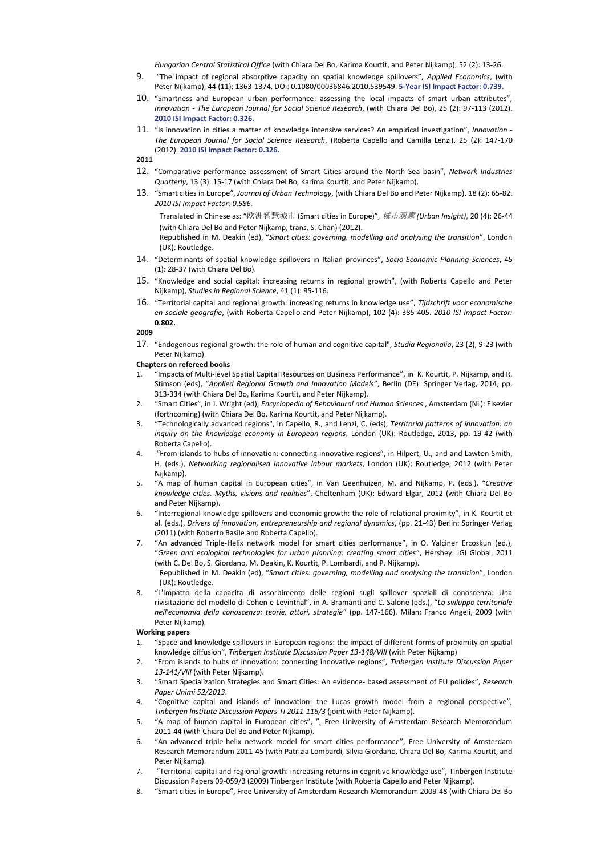*Hungarian Central Statistical Office* (with Chiara Del Bo, Karima Kourtit, and Peter Nijkamp), 52 (2): 13-26.

- 9. "The impact of regional absorptive capacity on spatial knowledge spillovers", *Applied Economics*, (with Peter Nijkamp), 44 (11): 1363-1374. DOI: 0.1080/00036846.2010.539549. **5-Year ISI Impact Factor: 0.739.**
- 10. "Smartness and European urban performance: assessing the local impacts of smart urban attributes", *Innovation - The European Journal for Social Science Research*, (with Chiara Del Bo), 25 (2): 97-113 (2012). **2010 ISI Impact Factor: 0.326.**
- 11. "Is innovation in cities a matter of knowledge intensive services? An empirical investigation", *Innovation The European Journal for Social Science Research*, (Roberta Capello and Camilla Lenzi), 25 (2): 147-170 (2012). **2010 ISI Impact Factor: 0.326.**

**2011**

- 12. "Comparative performance assessment of Smart Cities around the North Sea basin", *Network Industries Quarterly*, 13 (3): 15-17 (with Chiara Del Bo, Karima Kourtit, and Peter Nijkamp).
- 13. "Smart cities in Europe", *Journal of Urban Technology*, (with Chiara Del Bo and Peter Nijkamp), 18 (2): 65-82. *2010 ISI Impact Factor: 0.586.*

Translated in Chinese as: "欧洲智慧城市 (Smart cities in Europe)", *城市观察 (Urban Insight)*, 20 (4): 26-44 (with Chiara Del Bo and Peter Nijkamp, trans. S. Chan) (2012).

Republished in M. Deakin (ed), "*Smart cities: governing, modelling and analysing the transition*", London (UK): Routledge.

- 14. "Determinants of spatial knowledge spillovers in Italian provinces", *Socio-Economic Planning Sciences*, 45 (1): 28-37 (with Chiara Del Bo).
- 15. "Knowledge and social capital: increasing returns in regional growth", (with Roberta Capello and Peter Nijkamp), *Studies in Regional Science*, 41 (1): 95-116.
- 16. "Territorial capital and regional growth: increasing returns in knowledge use", *Tijdschrift voor economische en sociale geografie*, (with Roberta Capello and Peter Nijkamp), 102 (4): 385-405. *2010 ISI Impact Factor:*  **0.802.**

#### **2009**

17. "Endogenous regional growth: the role of human and cognitive capital", *Studia Regionalia*, 23 (2), 9-23 (with Peter Nijkamp).

#### **Chapters on refereed books**

- 1. "Impacts of Multi-level Spatial Capital Resources on Business Performance", in K. Kourtit, P. Nijkamp, and R. Stimson (eds), "*Applied Regional Growth and Innovation Models*", Berlin (DE): Springer Verlag, 2014, pp. 313-334 (with Chiara Del Bo, Karima Kourtit, and Peter Nijkamp).
- 2. "Smart Cities", in J. Wright (ed), *Encyclopedia of Behavioural and Human Sciences* , Amsterdam (NL): Elsevier (forthcoming) (with Chiara Del Bo, Karima Kourtit, and Peter Nijkamp).
- 3. "Technologically advanced regions", in Capello, R., and Lenzi, C. (eds), *Territorial patterns of innovation: an inquiry on the knowledge economy in European regions*, London (UK): Routledge, 2013, pp. 19-42 (with Roberta Capello).
- 4. "From islands to hubs of innovation: connecting innovative regions", in Hilpert, U., and and Lawton Smith, H. (eds.), *Networking regionalised innovative labour markets*, London (UK): Routledge, 2012 (with Peter Nijkamp).
- 5. "A map of human capital in European cities", in Van Geenhuizen, M. and Nijkamp, P. (eds.). "*Creative knowledge cities. Myths, visions and realities*", Cheltenham (UK): Edward Elgar, 2012 (with Chiara Del Bo and Peter Nijkamp).
- 6. "Interregional knowledge spillovers and economic growth: the role of relational proximity", in K. Kourtit et al. (eds.), *Drivers of innovation, entrepreneurship and regional dynamics*, (pp. 21-43) Berlin: Springer Verlag (2011) (with Roberto Basile and Roberta Capello).
- 7. "An advanced Triple-Helix network model for smart cities performance", in O. Yalciner Ercoskun (ed.), "*Green and ecological technologies for urban planning: creating smart cities*", Hershey: IGI Global, 2011 (with C. Del Bo, S. Giordano, M. Deakin, K. Kourtit, P. Lombardi, and P. Nijkamp). Republished in M. Deakin (ed), "*Smart cities: governing, modelling and analysing the transition*", London (UK): Routledge.
- 8. "L'Impatto della capacita di assorbimento delle regioni sugli spillover spaziali di conoscenza: Una rivisitazione del modello di Cohen e Levinthal", in A. Bramanti and C. Salone (eds.), "*Lo sviluppo territoriale nell'economia della conoscenza: teorie, attori, strategie"* (pp. 147-166). Milan: Franco Angeli, 2009 (with Peter Nijkamp).

#### **Working papers**

- 1. "Space and knowledge spillovers in European regions: the impact of different forms of proximity on spatial knowledge diffusion", *Tinbergen Institute Discussion Paper 13-148/VIII* (with Peter Nijkamp)
- 2. "From islands to hubs of innovation: connecting innovative regions", *Tinbergen Institute Discussion Paper 13-141/VIII* (with Peter Nijkamp).
- 3. "Smart Specialization Strategies and Smart Cities: An evidence- based assessment of EU policies", *Research Paper Unimi 52/2013*.
- 4. "Cognitive capital and islands of innovation: the Lucas growth model from a regional perspective", *Tinbergen Institute Discussion Papers TI 2011-116/3* (joint with Peter Nijkamp).
- 5. "A map of human capital in European cities", ", Free University of Amsterdam Research Memorandum 2011-44 (with Chiara Del Bo and Peter Nijkamp).
- 6. "An advanced triple-helix network model for smart cities performance", Free University of Amsterdam Research Memorandum 2011-45 (with Patrizia Lombardi, Silvia Giordano, Chiara Del Bo, Karima Kourtit, and Peter Nijkamp).
- 7. "Territorial capital and regional growth: increasing returns in cognitive knowledge use", Tinbergen Institute Discussion Papers 09-059/3 (2009) Tinbergen Institute (with Roberta Capello and Peter Nijkamp).
- 8. "Smart cities in Europe", Free University of Amsterdam Research Memorandum 2009-48 (with Chiara Del Bo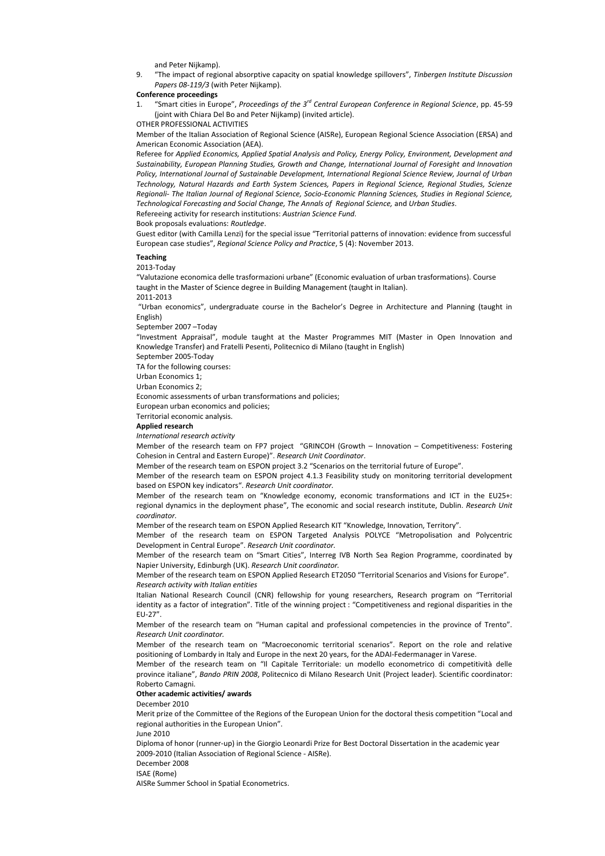and Peter Nijkamp).

9. "The impact of regional absorptive capacity on spatial knowledge spillovers", *Tinbergen Institute Discussion Papers 08-119/3* (with Peter Nijkamp).

#### **Conference proceedings**

- 1. "Smart cities in Europe", *Proceedings of the 3rd Central European Conference in Regional Science*, pp. 45-59 (joint with Chiara Del Bo and Peter Nijkamp) (invited article).
- OTHER PROFESSIONAL ACTIVITIES

Member of the Italian Association of Regional Science (AISRe), European Regional Science Association (ERSA) and American Economic Association (AEA).

Referee for *Applied Economics, Applied Spatial Analysis and Policy, Energy Policy, Environment, Development and Sustainability, European Planning Studies, Growth and Change, International Journal of Foresight and Innovation Policy, International Journal of Sustainable Development, International Regional Science Review, Journal of Urban Technology, Natural Hazards and Earth System Sciences, Papers in Regional Science, Regional Studies, Scienze Regionali- The Italian Journal of Regional Science, Socio-Economic Planning Sciences, Studies in Regional Science, Technological Forecasting and Social Change, The Annals of Regional Science,* and *Urban Studies*.

Refereeing activity for research institutions: *Austrian Science Fund*.

Book proposals evaluations: *Routledge*.

Guest editor (with Camilla Lenzi) for the special issue "Territorial patterns of innovation: evidence from successful European case studies", *Regional Science Policy and Practice*, 5 (4): November 2013.

### **Teaching**

2013-Today

"Valutazione economica delle trasformazioni urbane" (Economic evaluation of urban trasformations). Course taught in the Master of Science degree in Building Management (taught in Italian).

2011-2013

 "Urban economics", undergraduate course in the Bachelor's Degree in Architecture and Planning (taught in English)

September 2007 –Today

"Investment Appraisal", module taught at the Master Programmes MIT (Master in Open Innovation and Knowledge Transfer) and Fratelli Pesenti, Politecnico di Milano (taught in English)

September 2005-Today

TA for the following courses:

Urban Economics 1;

Urban Economics 2;

Economic assessments of urban transformations and policies;

European urban economics and policies;

Territorial economic analysis.

**Applied research**

*International research activity*

Member of the research team on FP7 project "GRINCOH (Growth – Innovation – Competitiveness: Fostering Cohesion in Central and Eastern Europe)". *Research Unit Coordinator*.

Member of the research team on ESPON project 3.2 "Scenarios on the territorial future of Europe".

Member of the research team on ESPON project 4.1.3 Feasibility study on monitoring territorial development based on ESPON key indicators". *Research Unit coordinator.* 

Member of the research team on "Knowledge economy, economic transformations and ICT in the EU25+: regional dynamics in the deployment phase", The economic and social research institute, Dublin. *Research Unit coordinator.*

Member of the research team on ESPON Applied Research KIT "Knowledge, Innovation, Territory".

Member of the research team on ESPON Targeted Analysis POLYCE "Metropolisation and Polycentric Development in Central Europe". *Research Unit coordinator.* 

Member of the research team on "Smart Cities", Interreg IVB North Sea Region Programme, coordinated by Napier University, Edinburgh (UK). *Research Unit coordinator.* 

Member of the research team on ESPON Applied Research ET2050 "Territorial Scenarios and Visions for Europe". *Research activity with Italian entities* 

Italian National Research Council (CNR) fellowship for young researchers, Research program on "Territorial identity as a factor of integration". Title of the winning project : "Competitiveness and regional disparities in the EU-27".

Member of the research team on "Human capital and professional competencies in the province of Trento". *Research Unit coordinator.*

Member of the research team on "Macroeconomic territorial scenarios". Report on the role and relative positioning of Lombardy in Italy and Europe in the next 20 years, for the ADAI-Federmanager in Varese.

Member of the research team on "Il Capitale Territoriale: un modello econometrico di competitività delle province italiane", *Bando PRIN 2008*, Politecnico di Milano Research Unit (Project leader). Scientific coordinator: Roberto Camagni.

#### **Other academic activities/ awards**

December 2010

Merit prize of the Committee of the Regions of the European Union for the doctoral thesis competition "Local and regional authorities in the European Union".

June 2010

Diploma of honor (runner-up) in the Giorgio Leonardi Prize for Best Doctoral Dissertation in the academic year 2009-2010 (Italian Association of Regional Science - AISRe).

December 2008

ISAE (Rome)

AISRe Summer School in Spatial Econometrics.